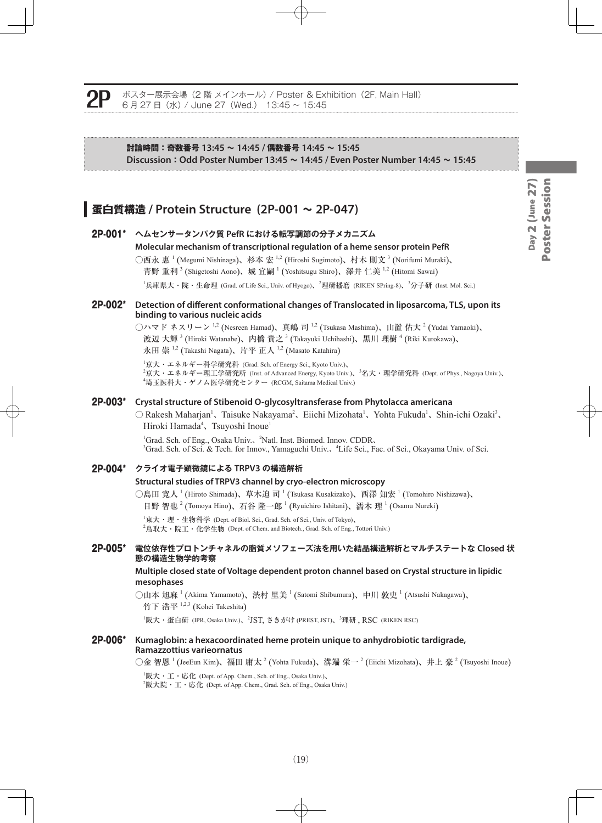ポスター展示会場 (2 階 メインホール) / Poster & Exhibition (2F, Main Hall) 6 月 27 日(水) / June 27(Wed.) 13:45 ~ 15:45

#### **討論時間:奇数番号 13:45 ~ 14:45 / 偶数番号 14:45 ~ 15:45 Discussion:Odd Poster Number 13:45 ~ 14:45 / Even Poster Number 14:45 ~ 15:45**

## **蛋白質構造 / Protein Structure (2P-001 ~ 2P-047)**

## 2P-001\* **ヘムセンサータンパク質 PefR における転写調節の分子メカニズム Molecular mechanism of transcriptional regulation of a heme sensor protein PefR** ○西永 惠 <sup>1</sup> (Megumi Nishinaga)、杉本 宏 <sup>1,2</sup> (Hiroshi Sugimoto)、村木 則文 <sup>3</sup> (Norifumi Muraki)、 青野 重利  $^3$  (Shigetoshi Aono)、城 宜嗣  $^1$  (Yoshitsugu Shiro)、澤井 仁美  $^{1,2}$  (Hitomi Sawai) <sup>1</sup>兵庫県大・院・生命理 (Grad. of Life Sci., Univ. of Hyogo)、<sup>2</sup>理研播磨 (RIKEN SPring-8)、<sup>3</sup>分子研 (Inst. Mol. Sci.) 2P-002\* **Detection of different conformational changes of Translocated in liposarcoma, TLS, upon its binding to various nucleic acids** ◯ハマド ネスリーン  $^{1,2}$  (Nesreen Hamad)、真嶋 司  $^{1,2}$  (Tsukasa Mashima)、山置 佑大  $^2$  (Yudai Yamaoki)、 渡辺 大輝 <sup>3</sup> (Hiroki Watanabe)、内橋 貴之 <sup>3</sup> (Takayuki Uchihashi)、黒川 理樹 <sup>4</sup> (Riki Kurokawa)、 永田 崇  $^{1,2}$  (Takashi Nagata)、片平 正人  $^{1,2}$  (Masato Katahira) 1 京大・エネルギー科学研究科 (Grad. Sch. of Energy Sci., Kyoto Univ.)、 2 京大・エネルギー理工学研究所 (Inst. of Advanced Energy, Kyoto Univ.)、<sup>3</sup> 名大・理学研究科 (Dept. of Phys., Nagoya Univ.)、 4 埼玉医科大・ゲノム医学研究センター (RCGM, Saitama Medical Univ.) 2P-003\* **Crystal structure of Stibenoid O-glycosyltransferase from Phytolacca americana** ○ Rakesh Maharjan<sup>1</sup>、Taisuke Nakayama<sup>2</sup>、Eiichi Mizohata<sup>1</sup>、Yohta Fukuda<sup>1</sup>、Shin-ichi Ozaki<sup>3</sup>、 Hiroki Hamada<sup>4</sup>、Tsuyoshi Inoue<sup>1</sup> <sup>1</sup>Grad. Sch. of Eng., Osaka Univ., <sup>2</sup>Natl. Inst. Biomed. Innov. CDDR, <sup>3</sup>Grad. Sch. of Sci. & Tech. for Innov., Yamaguchi Univ., <sup>4</sup>Life Sci., Fac. of Sci., Okayama Univ. of Sci. 2P-004\* **クライオ電子顕微鏡による TRPV3 の構造解析 Structural studies of TRPV3 channel by cryo-electron microscopy** ○島田 寛人 <sup>1</sup> (Hiroto Shimada)、草木迫 司 <sup>1</sup> (Tsukasa Kusakizako)、西澤 知宏 <sup>1</sup> (Tomohiro Nishizawa)、 日野 智也<sup>2</sup> (Tomoya Hino)、石谷 隆一郎<sup>1</sup> (Ryuichiro Ishitani)、濡木 理<sup>1</sup> (Osamu Nureki)  $^{\rm I}$ 東大・理・生物科学 (Dept. of Biol. Sci., Grad. Sch. of Sci., Univ. of Tokyo)、  $^2$ 鳥取大・院工・化学生物 (Dept. of Chem. and Biotech., Grad. Sch. of Eng., Tottori Univ.) 2P-005\* **電位依存性プロトンチャネルの脂質メソフェーズ法を用いた結晶構造解析とマルチステートな Closed 状 態の構造生物学的考察 Multiple closed state of Voltage dependent proton channel based on Crystal structure in lipidic mesophases** ○山本 旭麻 <sup>1</sup> (Akima Yamamoto)、渋村 里美 <sup>1</sup> (Satomi Shibumura)、中川 敦史 <sup>1</sup> (Atsushi Nakagawa)、 竹下 浩平 1,2,3 (Kohei Takeshita)  $^1$ 阪大・蛋白研 (IPR, Osaka Univ.)、 $^2$ JST, さきがけ (PREST, JST)、 $^3$ 理研 , RSC (RIKEN RSC) 2P-006\* **Kumaglobin: a hexacoordinated heme protein unique to anhydrobiotic tardigrade, Ramazzottius varieornatus** ○金 智恩  $^1$  (JeeEun Kim)、福田 庸太  $^2$  (Yohta Fukuda)、溝端 栄一  $^2$  (Eiichi Mizohata)、井上 豪  $^2$  (Tsuyoshi Inoue)  ${}^{1}$ 阪大・工・応化 (Dept. of App. Chem., Sch. of Eng., Osaka Univ.)、  $^{2}$ 阪大院・工・応化 (Dept. of App. Chem., Grad. Sch. of Eng., Osaka Univ.)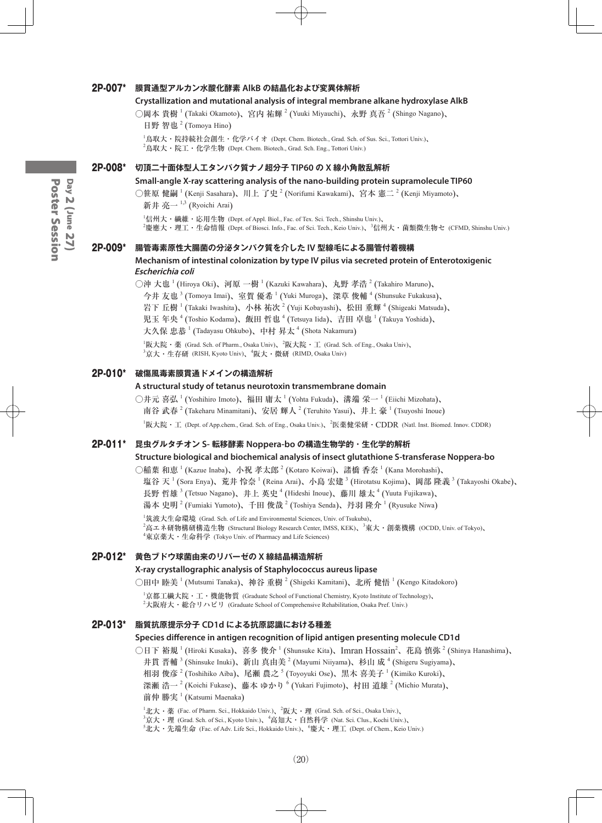#### 2P-007\* **膜貫通型アルカン水酸化酵素 AlkB の結晶化および変異体解析**

#### **Crystallization and mutational analysis of integral membrane alkane hydroxylase AlkB**

○岡本 貴樹 <sup>1</sup> (Takaki Okamoto)、宮内 祐輝 <sup>2</sup> (Yuuki Miyauchi)、永野 真吾 <sup>2</sup> (Shingo Nagano)、

日野 智也<sup>2</sup> (Tomoya Hino)

1 鳥取大・院持続社会創生・化学バイオ (Dept. Chem. Biotech., Grad. Sch. of Sus. Sci., Tottori Univ.)、  $^2$ 鳥取大・院工・化学生物 (Dept. Chem. Biotech., Grad. Sch. Eng., Tottori Univ.)

#### 2P-008\* **切頂二十面体型人工タンパク質ナノ超分子 TIP60 の X 線小角散乱解析**

#### **Small-angle X-ray scattering analysis of the nano-building protein supramolecule TIP60**

○笹原 健嗣 <sup>1</sup> (Kenji Sasahara)、川上 了史 <sup>2</sup> (Norifumi Kawakami)、宮本 憲二 <sup>2</sup> (Kenji Miyamoto)、 新井 亮一  $^{1,3}$  (Ryoichi Arai)

 $^1$ 信州大・繊維・応用生物 (Dept. of Appl. Biol., Fac. of Tex. Sci. Tech., Shinshu Univ.)、

2 慶應大・理工・生命情報 (Dept. of Biosci. Info., Fac. of Sci. Tech., Keio Univ.)、<sup>3</sup> 信州大・菌類微生物セ (CFMD, Shinshu Univ.)

#### 2P-009\* **腸管毒素原性大腸菌の分泌タンパク質を介した IV 型線毛による腸管付着機構**

#### **Mechanism of intestinal colonization by type IV pilus via secreted protein of Enterotoxigenic Escherichia coli**

○沖 大也  $^1$  (Hiroya Oki)、河原 一樹  $^1$  (Kazuki Kawahara)、丸野 孝浩  $^2$  (Takahiro Maruno)、

今井 友也 <sup>3</sup> (Tomoya Imai)、室賀 優希 <sup>1</sup> (Yuki Muroga)、深草 俊輔 <sup>4</sup> (Shunsuke Fukakusa)、

岩下 丘樹  $^1$  (Takaki Iwashita)、小林 祐次  $^2$  (Yuji Kobayashi)、松田 重輝  $^4$  (Shigeaki Matsuda)、

児玉 年央  $^4$  (Toshio Kodama)、飯田 哲也  $^4$  (Tetsuya Iida)、吉田 卓也  $^1$  (Takuya Yoshida)、

大久保 忠恭 <sup>1</sup> (Tadayasu Ohkubo)、中村 昇太 <sup>4</sup> (Shota Nakamura)

 ${}^{1}\!\overline{\bm{W}}$ 大院・薬 (Grad. Sch. of Pharm., Osaka Univ)、 ${}^{2}\!\overline{\bm{W}}$ 大院・工 (Grad. Sch. of Eng., Osaka Univ)、

 $^3$ 京大・生存研 (RISH, Kyoto Univ)、 $^4$ 阪大・微研 (RIMD, Osaka Univ)

#### 2P-010\* **破傷風毒素膜貫通ドメインの構造解析**

#### **A structural study of tetanus neurotoxin transmembrane domain**

○井元 喜弘 <sup>1</sup> (Yoshihiro Imoto)、福田 庸太 <sup>1</sup> (Yohta Fukuda)、溝端 栄一 <sup>1</sup> (Eiichi Mizohata)、 南谷 武春  $^{2}$  (Takeharu Minamitani)、安居 輝人  $^{2}$  (Teruhito Yasui)、井上 豪  $^{1}$  (Tsuyoshi Inoue)

<sup>1</sup>阪大院・工 (Dept. of App.chem., Grad. Sch. of Eng., Osaka Univ.)、<sup>2</sup>医薬健栄研・CDDR (Natl. Inst. Biomed. Innov. CDDR)

#### 2P-011\* **昆虫グルタチオン S- 転移酵素 Noppera-bo の構造生物学的・生化学的解析**

#### **Structure biological and biochemical analysis of insect glutathione S-transferase Noppera-bo**

○稲葉 和恵 <sup>1</sup> (Kazue Inaba)、小祝 孝太郎 <sup>2</sup> (Kotaro Koiwai)、諸橋 香奈 <sup>1</sup> (Kana Morohashi)、

塩谷 天  $^1$  (Sora Enya)、荒井 怜奈  $^1$  (Reina Arai)、小島 宏建  $^3$  (Hirotatsu Kojima)、岡部 隆義  $^3$  (Takayoshi Okabe)、

長野 哲雄 <sup>3</sup> (Tetsuo Nagano)、井上 英史 <sup>4</sup> (Hideshi Inoue)、藤川 雄太 <sup>4</sup> (Yuuta Fujikawa)、

湯本 史明 <sup>2</sup> (Fumiaki Yumoto)、千田 俊哉 <sup>2</sup> (Toshiya Senda)、丹羽 隆介 <sup>1</sup> (Ryusuke Niwa)

1 筑波大生命環境 (Grad. Sch. of Life and Environmental Sciences, Univ. of Tsukuba)、

<sup>2</sup>高エネ研物構研構造生物 (Structural Biology Research Center, IMSS, KEK)、<sup>3</sup>東大・創薬機構 (OCDD, Univ. of Tokyo)、

4 東京薬大・生命科学 (Tokyo Univ. of Pharmacy and Life Sciences)

#### 2P-012\* **黄色ブドウ球菌由来のリパーゼの X 線結晶構造解析**

#### **X-ray crystallographic analysis of Staphylococcus aureus lipase**

○田中 睦美 <sup>1</sup> (Mutsumi Tanaka)、神谷 重樹 <sup>2</sup> (Shigeki Kamitani)、北所 健悟 <sup>1</sup> (Kengo Kitadokoro)

1 京都工繊大院・工・機能物質 (Graduate School of Functional Chemistry, Kyoto Institute of Technology)、

 $^2$ 大阪府大・総合リハビリ(Graduate School of Comprehensive Rehabilitation, Osaka Pref. Univ.)

#### 2P-013\* **脂質抗原提示分子 CD1d による抗原認識における種差**

#### **Species difference in antigen recognition of lipid antigen presenting molecule CD1d**

○日下 裕規 <sup>1</sup> (Hiroki Kusaka)、喜多 俊介 <sup>1</sup> (Shunsuke Kita)、Imran Hossain<sup>2</sup>、花島 慎弥 <sup>2</sup> (Shinya Hanashima)、

井貫 晋輔  $^3$  (Shinsuke Inuki)、新山 真由美  $^2$  (Mayumi Niiyama)、杉山 成  $^4$  (Shigeru Sugiyama)、

相羽 俊彦  $^2$  (Toshihiko Aiba)、尾瀬 農之  $^5$  (Toyoyuki Ose)、黒木 喜美子  $^1$  (Kimiko Kuroki)、

深瀬 浩一  $^2$  (Koichi Fukase)、藤本 ゆかり  $^6$  (Yukari Fujimoto)、村田 道雄  $^2$  (Michio Murata)、

前仲 勝実 <sup>1</sup> (Katsumi Maenaka)

 $^1$ 北大・薬 (Fac. of Pharm. Sci., Hokkaido Univ.)、 $^2$ 阪大・理 (Grad. Sch. of Sci., Osaka Univ.)、

 $^3$ 京大・理 (Grad. Sch. of Sci., Kyoto Univ.)、 $^4$ 高知大・自然科学 (Nat. Sci. Clus., Kochi Univ.)、

 $^5$ 北大・先端生命 (Fac. of Adv. Life Sci., Hokkaido Univ.)、 $^6$ 慶大・理工 (Dept. of Chem., Keio Univ.)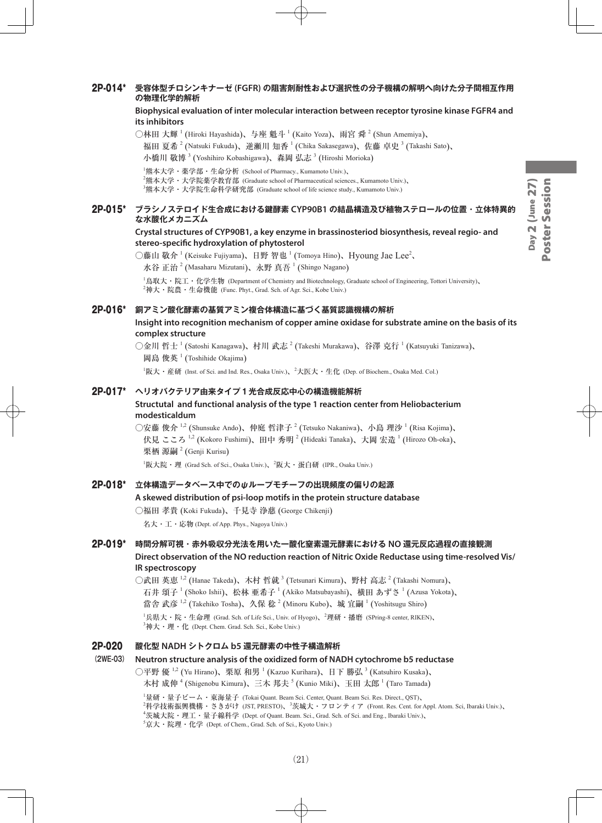#### 2P-014\* **受容体型チロシンキナーゼ (FGFR) の阻害剤耐性および選択性の分子機構の解明へ向けた分子間相互作用 の物理化学的解析**

**Biophysical evaluation of inter molecular interaction between receptor tyrosine kinase FGFR4 and its inhibitors**

○林田 大輝  $^1$  (Hiroki Hayashida)、与座 魁斗  $^1$  (Kaito Yoza)、雨宮 舜  $^2$  (Shun Amemiya)、 福田 夏希  $^2$  (Natsuki Fukuda)、逆瀬川 知香  $^1$  (Chika Sakasegawa)、佐藤 卓史  $^3$  (Takashi Sato)、 小橋川 敬博 <sup>3</sup> (Yoshihiro Kobashigawa)、森岡 弘志 <sup>3</sup> (Hiroshi Morioka)

1 熊本大学・薬学部・生命分析 (School of Pharmacy., Kumamoto Univ.)、

 $^2$ 熊本大学・大学院薬学教育部 (Graduate school of Pharmaceutical sciences., Kumamoto Univ.)、

 $^3$ 熊本大学・大学院生命科学研究部 (Graduate school of life science study., Kumamoto Univ.)

#### 2P-015\* **ブラシノステロイド生合成における鍵酵素 CYP90B1 の結晶構造及び植物ステロールの位置・立体特異的 な水酸化メカニズム**

#### **Crystal structures of CYP90B1, a key enzyme in brassinosteriod biosynthesis, reveal regio- and stereo-specific hydroxylation of phytosterol**

○藤山 敬介<sup>1</sup> (Keisuke Fujiyama)、日野 智也 <sup>1</sup> (Tomoya Hino)、Hyoung Jae Lee<sup>2</sup>、 水谷 正治  $^2$  (Masaharu Mizutani)、永野 真吾  $^1$  (Shingo Nagano)

1 鳥取大・院工・化学生物 (Department of Chemistry and Biotechnology, Graduate school of Engineering, Tottori University)、  $^2$ 神大・院農・生命機能 (Func. Phyt., Grad. Sch. of Agr. Sci., Kobe Univ.)

#### 2P-016\* **銅アミン酸化酵素の基質アミン複合体構造に基づく基質認識機構の解析**

#### **Insight into recognition mechanism of copper amine oxidase for substrate amine on the basis of its complex structure**

○金川 哲士  $^1$  (Satoshi Kanagawa)、村川 武志  $^2$  (Takeshi Murakawa)、谷澤 克行  $^1$  (Katsuyuki Tanizawa)、 岡島 俊英 <sup>1</sup> (Toshihide Okajima)

 ${}^{1}$ 阪大・産研 (Inst. of Sci. and Ind. Res., Osaka Univ.)、 ${}^{2}$ 大医大・生化 (Dep. of Biochem., Osaka Med. Col.)

#### 2P-017\* **ヘリオバクテリア由来タイプ1光合成反応中心の構造機能解析**

#### **Structutal and functional analysis of the type 1 reaction center from Heliobacterium modesticaldum**

○安藤 俊介 <sup>1,2</sup> (Shunsuke Ando)、仲庭 哲津子 <sup>2</sup> (Tetsuko Nakaniwa)、小島 理沙 <sup>1</sup> (Risa Kojima)、 伏見 こころ  $^{1,2}$  (Kokoro Fushimi)、田中 秀明  $^2$  (Hideaki Tanaka)、大岡 宏造  $^1$  (Hirozo Oh-oka)、 栗栖 源嗣<sup>2</sup> (Genji Kurisu)

 $^1$ 阪大院・理 (Grad Sch. of Sci., Osaka Univ.)、 $^2$ 阪大・蛋白研 (IPR., Osaka Univ.)

#### 2P-018\* **立体構造データベース中でのψループモチーフの出現頻度の偏りの起源**

#### **A skewed distribution of psi-loop motifs in the protein structure database**

○福田 孝貴 (Koki Fukuda)、千見寺 浄慈 (George Chikenji)

名大・工・応物 (Dept. of App. Phys., Nagoya Univ.)

#### 2P-019\* **時間分解可視・赤外吸収分光法を用いた一酸化窒素還元酵素における NO 還元反応過程の直接観測 Direct observation of the NO reduction reaction of Nitric Oxide Reductase using time-resolved Vis/ IR spectroscopy**

○武田 英恵  $^{1,2}$  (Hanae Takeda)、木村 哲就  $^3$  (Tetsunari Kimura)、野村 高志  $^2$  (Takashi Nomura)、 石井 頌子 <sup>1</sup> (Shoko Ishii)、松林 亜希子 <sup>1</sup> (Akiko Matsubayashi)、横田 あずさ <sup>1</sup> (Azusa Yokota)、 當舎 武彦 <sup>1,2</sup> (Takehiko Tosha)、久保 稔 <sup>2</sup> (Minoru Kubo)、城 宜嗣 <sup>1</sup> (Yoshitsugu Shiro)  $^1$ 兵県大・院・生命理 (Grad. Sch. of Life Sci., Univ. of Hyogo)、 $^2$ 理研・播磨 (SPring-8 center, RIKEN)、  $^3$ 神大・理・化 (Dept. Chem. Grad. Sch. Sci., Kobe Univ.)

#### 2P-020 **酸化型 NADH シトクロム b5 還元酵素の中性子構造解析**

#### **(2WE-03) Neutron structure analysis of the oxidized form of NADH cytochrome b5 reductase**

○平野 優  $^{1,2}$  (Yu Hirano)、栗原 和男  $^1$  (Kazuo Kurihara)、日下 勝弘  $^3$  (Katsuhiro Kusaka)、 木村 成伸 <sup>4</sup> (Shigenobu Kimura)、三木 邦夫 <sup>5</sup> (Kunio Miki)、玉田 太郎 <sup>1</sup> (Taro Tamada)

 量研・量子ビーム・東海量子 (Tokai Quant. Beam Sci. Center, Quant. Beam Sci. Res. Direct., QST)、  $^2$ 科学技術振興機構・さきがけ (JST, PRESTO)、 $^3$ 茨城大・フロンティア (Front. Res. Cent. for Appl. Atom. Sci, Ibaraki Univ.)、 茨城大院・理工・量子線科学 (Dept. of Quant. Beam. Sci., Grad. Sch. of Sci. and Eng., Ibaraki Univ.)、 京大・院理・化学 (Dept. of Chem., Grad. Sch. of Sci., Kyoto Univ.)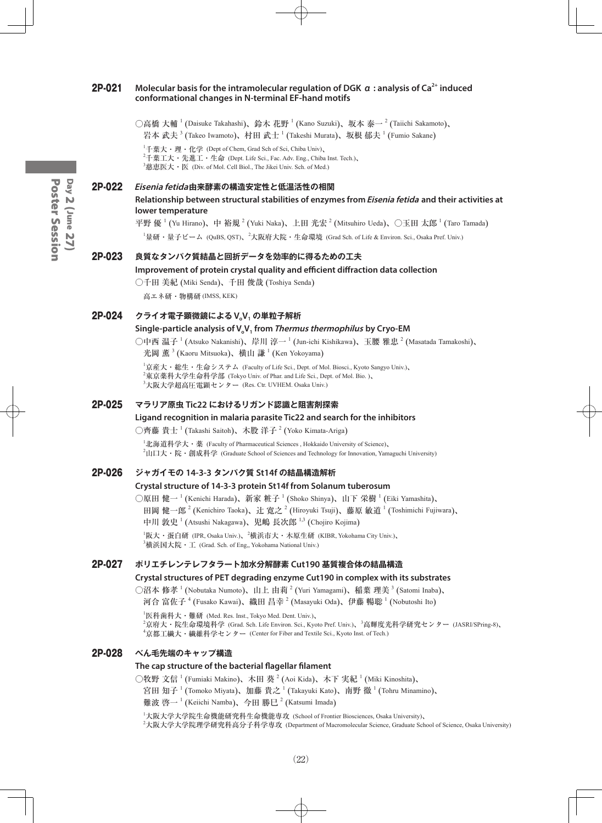#### 2P-021 **Molecular basis for the intramolecular regulation of DGK α : analysis of Ca2+ induced conformational changes in N-terminal EF-hand motifs**

○高橋 大輔 <sup>1</sup> (Daisuke Takahashi)、鈴木 花野 <sup>1</sup> (Kano Suzuki)、坂本 泰一 <sup>2</sup> (Taiichi Sakamoto)、 岩本 武夫  $^3$  (Takeo Iwamoto)、村田 武士  $^1$  (Takeshi Murata)、坂根 郁夫  $^1$  (Fumio Sakane)

 ${}^{1}\text{+}$ 葉大・理・化学 (Dept of Chem, Grad Sch of Sci, Chiba Univ)、  $^2$ 千葉工大・先進工・生命 (Dept. Life Sci., Fac. Adv. Eng., Chiba Inst. Tech.)、  $^3$ 慈恵医大・医 (Div. of Mol. Cell Biol., The Jikei Univ. Sch. of Med.)

#### 2P-022 **Eisenia fetida由来酵素の構造安定性と低温活性の相関**

**Relationship between structural stabilities of enzymes from Eisenia fetida and their activities at lower temperature**

平野 優  $^1$  (Yu Hirano)、中 裕規  $^2$  (Yuki Naka)、上田 光宏  $^2$  (Mitsuhiro Ueda)、〇玉田 太郎  $^1$  (Taro Tamada)

1 量研・量子ビーム (QuBS, QST)、<sup>2</sup> 大阪府大院・生命環境 (Grad Sch. of Life & Environ. Sci., Osaka Pref. Univ.)

#### 2P-023 **良質なタンパク質結晶と回折データを効率的に得るための工夫**

#### **Improvement of protein crystal quality and efficient diffraction data collection**

○千田 美紀 (Miki Senda)、千田 俊哉 (Toshiya Senda)

高エネ研・物構研 (IMSS, KEK)

#### 2P-024 **クライオ電子顕微鏡による VoV1 の単粒子解析**

#### **Single-particle analysis of V.V. from** *Thermus thermophilus* **by Cryo-EM**

○中西 温子 <sup>1</sup> (Atsuko Nakanishi)、岸川 淳一 <sup>1</sup> (Jun-ichi Kishikawa)、玉腰 雅忠 <sup>2</sup> (Masatada Tamakoshi)、 光岡 薫<sup>3</sup> (Kaoru Mitsuoka)、横山 謙<sup>1</sup> (Ken Yokoyama)

1 京産大・総生・生命システム (Faculty of Life Sci., Dept. of Mol. Biosci., Kyoto Sangyo Univ.)、  $^2$ 東京薬科大学生命科学部 (Tokyo Univ. of Phar. and Life Sci., Dept. of Mol. Bio. )、  $^3$ 大阪大学超高圧電顕センター (Res. Ctr. UVHEM. Osaka Univ.)

#### 2P-025 **マラリア原虫 Tic22 におけるリガンド認識と阻害剤探索**

#### **Ligand recognition in malaria parasite Tic22 and search for the inhibitors**

○齊藤 貴士  $^1$  (Takashi Saitoh)、木股 洋子  $^2$  (Yoko Kimata-Ariga)

 ${}^{1}$ 北海道科学大・薬 (Faculty of Pharmaceutical Sciences, Hokkaido University of Science)、  $^2$ 山口大・院・創成科学 (Graduate School of Sciences and Technology for Innovation, Yamaguchi University)

#### 2P-026 **ジャガイモの 14-3-3 タンパク質 St14f の結晶構造解析**

#### **Crystal structure of 14-3-3 protein St14f from Solanum tuberosum**

○原田 健一 <sup>1</sup> (Kenichi Harada)、新家 粧子 <sup>1</sup> (Shoko Shinya)、山下 栄樹 <sup>1</sup> (Eiki Yamashita)、 田岡 健一郎  $^{2}$  (Kenichiro Taoka)、辻 寛之  $^{2}$  (Hiroyuki Tsuji)、藤原 敏道  $^{1}$  (Toshimichi Fujiwara)、 中川 敦史<sup>1</sup> (Atsushi Nakagawa)、児嶋 長次郎<sup>1,3</sup> (Chojiro Kojima)

 $^{\rm I}$ 阪大・蛋白研 (IPR, Osaka Univ.)、 $^{\rm 2}$ 横浜市大・木原生研 (KIBR, Yokohama City Univ.)、 3 横浜国大院・工 (Grad. Sch. of Eng,, Yokohama National Univ.)

#### 2P-027 **ポリエチレンテレフタラート加水分解酵素 Cut190 基質複合体の結晶構造**

#### **Crystal structures of PET degrading enzyme Cut190 in complex with its substrates**

○沼本 修孝 <sup>1</sup> (Nobutaka Numoto)、山上 由莉 <sup>2</sup> (Yuri Yamagami)、稲葉 理美 <sup>3</sup> (Satomi Inaba)、

河合 富佐子 <sup>4</sup> (Fusako Kawai)、織田 昌幸 <sup>2</sup> (Masayuki Oda)、伊藤 暢聡 <sup>1</sup> (Nobutoshi Ito)

 ${}^{1}$ 医科歯科大・難研 (Med. Res. Inst., Tokyo Med. Dent. Univ.)、 2 京府大・院生命環境科学 (Grad. Sch. Life Environ. Sci., Kyoto Pref. Univ.)、<sup>3</sup> 高輝度光科学研究センター (JASRI/SPring-8)、 4 京都工繊大・繊維科学センター (Center for Fiber and Textile Sci., Kyoto Inst. of Tech.)

#### 2P-028 **べん毛先端のキャップ構造**

#### **The cap structure of the bacterial flagellar filament**

○牧野 文信  $^1$  (Fumiaki Makino)、木田 葵  $^2$  (Aoi Kida)、木下 実紀  $^1$  (Miki Kinoshita)、

宮田 知子  $^1$  (Tomoko Miyata)、加藤 貴之  $^1$  (Takayuki Kato)、南野 徹  $^1$  (Tohru Minamino)、

難波 啓一<sup>1</sup> (Keiichi Namba)、今田 勝巳<sup>2</sup> (Katsumi Imada)

1 大阪大学大学院生命機能研究科生命機能専攻 (School of Frontier Biosciences, Osaka University)、 2 大阪大学大学院理学研究科高分子科学専攻 (Department of Macromolecular Science, Graduate School of Science, Osaka University)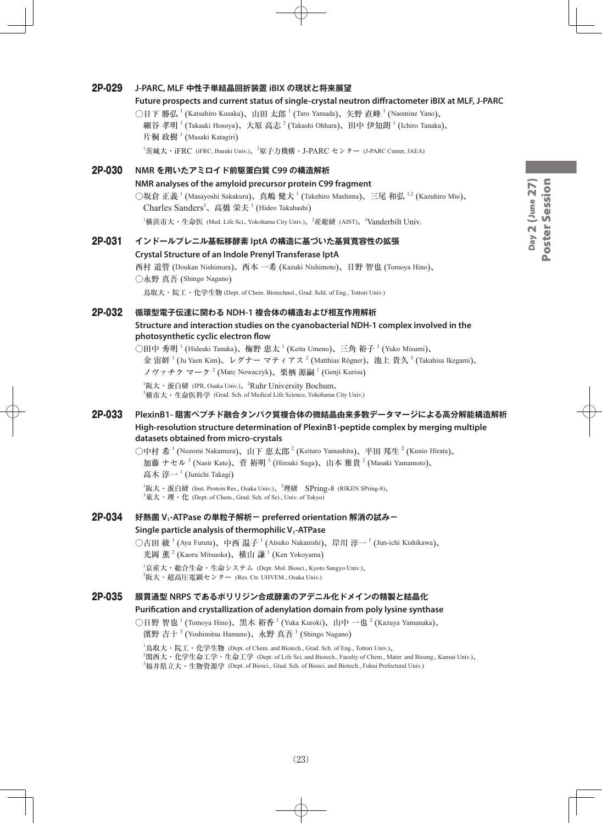# Day 2 (June 27)<br>Poster Session Day 2 (June 27) Poster Session

#### 2P-029 **J-PARC, MLF 中性子単結晶回折装置 iBIX の現状と将来展望**

#### **Future prospects and current status of single-crystal neutron diffractometer iBIX at MLF, J-PARC**

○日下 勝弘  $^1$  (Katsuhiro Kusaka)、山田 太郎  $^1$  (Taro Yamada)、矢野 直峰  $^1$  (Naomine Yano)、 細谷 孝明  $^1$  (Takaaki Hosoya)、大原 高志  $^2$  (Takashi Ohhara)、田中 伊知朗  $^1$  (Ichiro Tanaka)、 片桐 政樹<sup>1</sup> (Masaki Katagiri)

<sup>1</sup>茨城大・iFRC (iFRC, Ibaraki Univ.)、<sup>2</sup>原子力機構・J-PARC センター (J-PARC Center, JAEA)

### 2P-030 **NMR を用いたアミロイド前駆蛋白質 C99 の構造解析 NMR analyses of the amyloid precursor protein C99 fragment** ○坂倉 正義  $^1$  (Masayoshi Sakakura)、真嶋 健大  $^1$  (Takehiro Mashima)、三尾 和弘  $^{1,2}$  (Kazuhiro Mio)、 Charles Sanders<sup>3</sup>、高橋 栄夫<sup>1</sup> (Hideo Takahashi)  ${}^{1}$ 横浜市大・生命医 (Med. Life Sci., Yokohama City Univ.)、 ${}^{2}$ 産総研 (AIST)、 ${}^{3}$ Vanderbilt Univ.

#### 2P-031 **インドールプレニル基転移酵素 IptA の構造に基づいた基質寛容性の拡張 Crystal Structure of an Indole Prenyl Transferase IptA**

西村 道管 (Doukan Nishimura)、西本 一希 (Kazuki Nishimoto)、日野 智也 (Tomoya Hino)、 ○永野 真吾 (Shingo Nagano)

鳥取大・院工・化学生物 (Dept. of Chem. Biotechnol., Grad. Schl. of Eng., Tottori Univ.)

#### 2P-032 **循環型電子伝達に関わる NDH-1 複合体の構造および相互作用解析**

#### **Structure and interaction studies on the cyanobacterial NDH-1 complex involved in the photosynthetic cyclic electron flow**

○田中 秀明  $^1$  (Hideaki Tanaka)、梅野 恵太  $^1$  (Keita Umeno)、三角 裕子  $^1$  (Yuko Misumi)、 金 宙妍  $^1$  (Ju Yaen Kim)、レグナー マティアス  $^2$  (Matthias Rögner)、池上 貴久  $^3$  (Takahisa Ikegami)、 ノヴァチク マーク  $^2$  (Marc Nowaczyk)、栗栖 源嗣  $^1$  (Genji Kurisu)

 ${}^{1}\mathbb{R}$ 大·蛋白研 (IPR, Osaka Univ.)、<sup>2</sup>Ruhr University Bochum、  $^3$ 横市大・生命医科学 (Grad. Sch. of Medical Life Science, Yokohama City Univ.)

#### 2P-033 **PlexinB1- 阻害ペプチド融合タンパク質複合体の微結晶由来多数データマージによる高分解能構造解析 High-resolution structure determination of PlexinB1-peptide complex by merging multiple datasets obtained from micro-crystals**

○中村 希  $^1$  (Nozomi Nakamura)、山下 恵太郎  $^2$  (Keitaro Yamashita)、平田 邦生  $^2$  (Kunio Hirata)、 加藤 ナセル  $^3$  (Nasir Kato)、菅 裕明  $^3$  (Hiroaki Suga)、山本 雅貴  $^2$  (Masaki Yamamoto)、 高木 淳一<sup>1</sup> (Junichi Takagi)

 ${}^{1}$ 阪大・蛋白研 (Inst. Protein Res., Osaka Univ.)、 ${}^{2}$ 理研 SPring-8 (RIKEN SPring-8)、  $^3$ 東大・理・化 (Dept. of Chem., Grad. Sch. of Sci., Univ. of Tokyo)

## 2P-034 **好熱菌 V1-ATPase の単粒子解析- preferred orientation 解消の試み- Single particle analysis of thermophilic V<sub>1</sub>-ATPase**

○古田 綾 <sup>1</sup> (Aya Furuta)、中西 温子 <sup>1</sup> (Atsuko Nakanishi)、岸川 淳一 <sup>1</sup> (Jun-ichi Kishikawa)、 光岡 薫<sup>2</sup> (Kaoru Mitsuoka)、横山 謙<sup>1</sup> (Ken Yokoyama)

1 京産大・総合生命・生命システム (Dept. Mol. Biosci., Kyoto Sangyo Univ.)、  $^{2}$ 阪大・超高圧電顕センター (Res. Ctr. UHVEM., Osaka Univ.)

#### 2P-035 **膜貫通型 NRPS であるポリリジン合成酵素のアデニル化ドメインの精製と結晶化**

#### **Purification and crystallization of adenylation domain from poly lysine synthase**

○日野 智也  $^1$  (Tomoya Hino)、黒木 裕香  $^1$  (Yuka Kuroki)、山中 一也  $^2$  (Kazuya Yamanaka)、

濱野 吉十  $^3$  (Yoshimitsu Hamano)、永野 真吾  $^1$  (Shingo Nagano)

 $^{\rm 1}$ 鳥取大・院工・化学生物 (Dept. of Chem. and Biotech., Grad. Sch. of Eng., Tottori Univ.)、 2 関西大・化学生命工学・生命工学 (Dept. of Life Sci. and Biotech., Faculty of Chem., Mater. and Bioeng., Kansai Univ.)、  $^3$ 福井県立大・生物資源学 (Dept. of Biosci., Grad. Sch. of Biosci. and Biotech., Fukui Prefectural Univ.)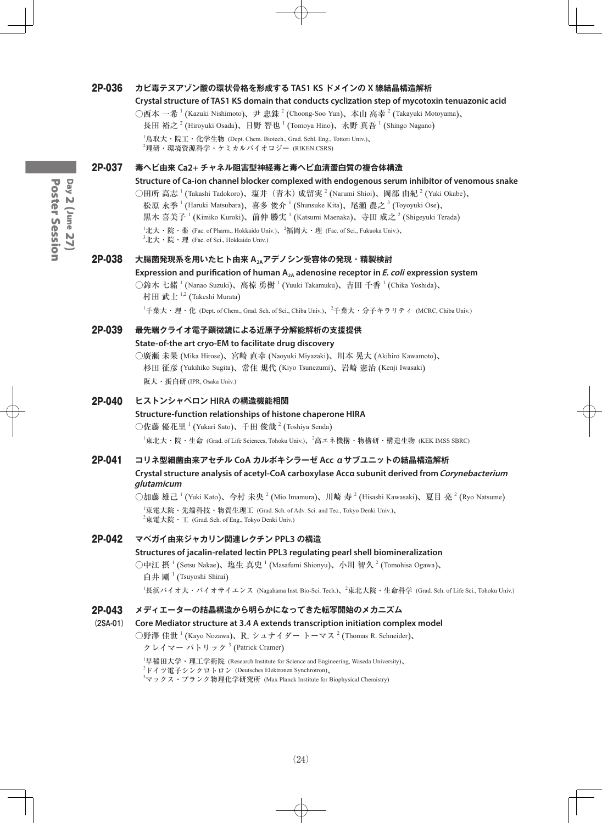#### 2P-036 **カビ毒テヌアゾン酸の環状骨格を形成する TAS1 KS ドメインの X 線結晶構造解析**

#### **Crystal structure of TAS1 KS domain that conducts cyclization step of mycotoxin tenuazonic acid**

○西本 一希 <sup>1</sup> (Kazuki Nishimoto)、尹 忠銖 <sup>2</sup> (Choong-Soo Yun)、本山 高幸 <sup>2</sup> (Takayuki Motoyama)、

長田 裕之  $^{2}$  (Hiroyuki Osada)、日野 智也  $^{1}$  (Tomoya Hino)、永野 真吾  $^{1}$  (Shingo Nagano)

 $^1$ 鳥取大・院工・化学生物 (Dept. Chem. Biotech., Grad. Schl. Eng., Tottori Univ.)、  $^2$ 理研・環境資源科学・ケミカルバイオロジー (RIKEN CSRS)

#### 2P-037 **毒ヘビ由来 Ca2+ チャネル阻害型神経毒と毒ヘビ血清蛋白質の複合体構造**

**Structure of Ca-ion channel blocker complexed with endogenous serum inhibitor of venomous snake**

○田所 高志 <sup>1</sup> (Takashi Tadokoro)、塩井(青木)成留実 <sup>2</sup> (Narumi Shioi)、岡部 由紀 <sup>2</sup> (Yuki Okabe)、

松原 永季  $^1$  (Haruki Matsubara)、喜多 俊介  $^1$  (Shunsuke Kita)、尾瀬 農之  $^3$  (Toyoyuki Ose)、

黒木 喜美子  $^1$  (Kimiko Kuroki)、前仲 勝実  $^1$  (Katsumi Maenaka)、寺田 成之  $^2$  (Shigeyuki Terada)

 $^1$ 北大・院・薬 (Fac. of Pharm., Hokkaido Univ.)、 $^2$ 福岡大・理 (Fac. of Sci., Fukuoka Univ.)、

 $^3$ 北大・院・理 (Fac. of Sci., Hokkaido Univ.)

#### 2P-038 **大腸菌発現系を用いたヒト由来 A2Aアデノシン受容体の発現・精製検討**

#### Expression and purification of human A<sub>2A</sub> adenosine receptor in *E. coli* expression system

○鈴木 七緒  $^1$  (Nanao Suzuki)、高椋 勇樹  $^1$  (Yuuki Takamuku)、吉田 千香  $^1$  (Chika Yoshida)、 村田 武士  $^{1,2}$  (Takeshi Murata)

<sup>1</sup>千葉大・理・化 (Dept. of Chem., Grad. Sch. of Sci., Chiba Univ.)、<sup>2</sup>千葉大・分子キラリティ (MCRC, Chiba Univ.)

2P-039 **最先端クライオ電子顕微鏡による近原子分解能解析の支援提供 State-of-the art cryo-EM to facilitate drug discovery** ○廣瀬 未果 (Mika Hirose)、宮崎 直幸 (Naoyuki Miyazaki)、川本 晃大 (Akihiro Kawamoto)、 杉田 征彦 (Yukihiko Sugita)、常住 規代 (Kiyo Tsunezumi)、岩崎 憲治 (Kenji Iwasaki)

阪大・蛋白研 (IPR, Osaka Univ.)

#### 2P-040 **ヒストンシャペロン HIRA の構造機能相関**

#### **Structure-function relationships of histone chaperone HIRA**

○佐藤 優花里  $^1$  (Yukari Sato)、千田 俊哉  $^2$  (Toshiya Senda)

 $^1$ 東北大・院・生命 (Grad. of Life Sciences, Tohoku Univ.)、 $^2$ 高エネ機構・物構研・構造生物 (KEK IMSS SBRC)

#### 2P-041 **コリネ型細菌由来アセチル CoA カルボキシラーゼ Acc αサブユニットの結晶構造解析**

#### **Crystal structure analysis of acetyl-CoA carboxylase Accα subunit derived from Corynebacterium glutamicum**

○加藤 雄己 <sup>1</sup> (Yuki Kato)、今村 未央 <sup>2</sup> (Mio Imamura)、川崎 寿 <sup>2</sup> (Hisashi Kawasaki)、夏目 亮 <sup>2</sup> (Ryo Natsume)  $^{\rm I}$ 東電大院・先端科技・物質生理工 (Grad. Sch. of Adv. Sci. and Tec., Tokyo Denki Univ.)、  $^{2}$ 東電大院・工 (Grad. Sch. of Eng., Tokyo Denki Univ.)

#### 2P-042 **マベガイ由来ジャカリン関連レクチン PPL3 の構造**

#### **Structures of jacalin-related lectin PPL3 regulating pearl shell biomineralization**

○中江 摂  $^1$  (Setsu Nakae)、塩生 真史  $^1$  (Masafumi Shionyu)、小川 智久  $^2$  (Tomohisa Ogawa)、 白井 剛 <sup>1</sup> (Tsuyoshi Shirai)

 $^1$ 長浜バイオ大・バイオサイエンス (Nagahama Inst. Bio-Sci. Tech.)、 $^2$ 東北大院・生命科学 (Grad. Sch. of Life Sci., Tohoku Univ.)

#### 2P-043 **メディエーターの結晶構造から明らかになってきた転写開始のメカニズム**

#### **(2SA-01) Core Mediator structure at 3.4 A extends transcription initiation complex model**

 $\bigcirc$ 野澤 佳世  $^1$  (Kayo Nozawa)、R. シュナイダー トーマス  $^2$  (Thomas R. Schneider)、

クレイマー パトリック<sup>3</sup> (Patrick Cramer)

1 早稲田大学・理工学術院 (Research Institute for Science and Engineering, Waseda University)、

 $^2$ ドイツ電子シンクロトロン (Deutsches Elektronen Synchrotron)、

<sup>3</sup>マックス・プランク物理化学研究所 (Max Planck Institute for Biophysical Chemistry)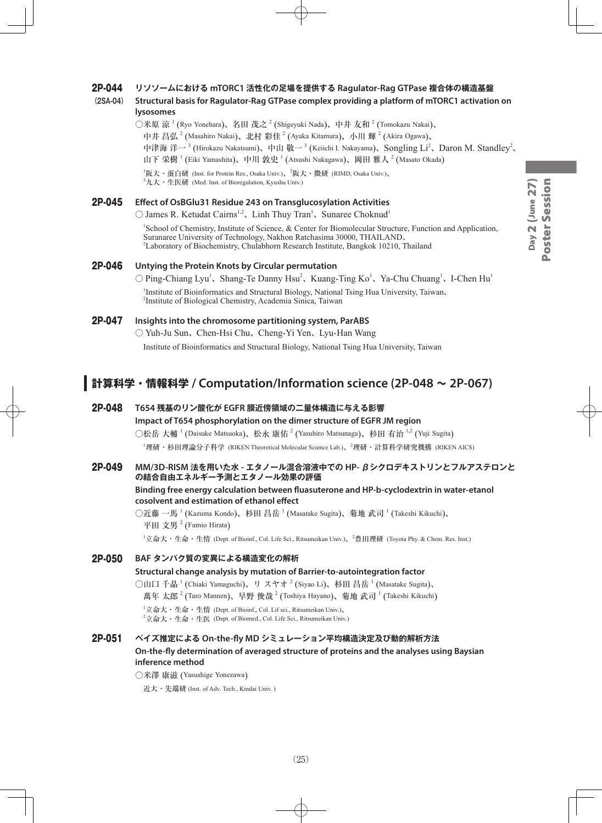#### 2P-044 **リソソームにおける mTORC1 活性化の足場を提供する Ragulator-Rag GTPase 複合体の構造基盤**

#### **(2SA-04) Structural basis for Ragulator-Rag GTPase complex providing a platform of mTORC1 activation on lysosomes**

○米原 涼 <sup>1</sup> (Ryo Yonehara)、名田 茂之 <sup>2</sup> (Shigeyuki Nada)、中井 友和 <sup>2</sup> (Tomokazu Nakai)、 中井 昌弘  $^2$  (Masahiro Nakai)、北村 彩佳  $^2$  (Ayaka Kitamura)、小川 輝  $^2$  (Akira Ogawa)、 中津海 洋一<sup>3</sup> (Hirokazu Nakatsumi)、中山 敬一<sup>3</sup> (Keiichi I. Nakayama)、Songling Li<sup>2</sup>、Daron M. Standley<sup>2</sup>、 山下 栄樹  $^1$  (Eiki Yamashita)、中川 敦史  $^1$  (Atsushi Nakagawa)、岡田 雅人  $^2$  (Masato Okada)

<sup>1</sup>阪大・蛋白研 (Inst. for Protein Res., Osaka Univ.)、<sup>2</sup>阪大・微研 (RIMD, Osaka Univ.)、  ${}^{3}$ 九大・生医研 (Med. Inst. of Bioregulation, Kyushu Univ.)

#### 2P-045 **Effect of OsBGlu31 Residue 243 on Transglucosylation Activities**

 $\bigcirc$  James R. Ketudat Cairns<sup>1,2</sup>, Linh Thuy Tran<sup>1</sup>, Sunaree Choknud<sup>1</sup>

1 School of Chemistry, Institute of Science, & Center for Biomolecular Structure, Function and Application, Suranaree University of Technology, Nakhon Ratchasima 30000, THAILAND、 2 Laboratory of Biochemistry, Chulabhorn Research Institute, Bangkok 10210, Thailand

#### 2P-046 **Untying the Protein Knots by Circular permutation**

 $\bigcirc$  Ping-Chiang Lyu<sup>1</sup>, Shang-Te Danny Hsu<sup>2</sup>, Kuang-Ting Ko<sup>1</sup>, Ya-Chu Chuang<sup>1</sup>, I-Chen Hu<sup>1</sup>

<sup>1</sup>Institute of Bioinformatics and Structural Biology, National Tsing Hua University, Taiwan, 2 Institute of Biological Chemistry, Academia Sinica, Taiwan

#### 2P-047 **Insights into the chromosome partitioning system, ParABS**

○ Yuh-Ju Sun、Chen-Hsi Chu、Cheng-Yi Yen、Lyu-Han Wang

Institute of Bioinformatics and Structural Biology, National Tsing Hua University, Taiwan

## **計算科学・情報科学 / Computation/Information science (2P-048 ~ 2P-067)**

#### 2P-048 **T654 残基のリン酸化が EGFR 膜近傍領域の二量体構造に与える影響**

**Impact of T654 phosphorylation on the dimer structure of EGFR JM region** ○松岳 大輔 <sup>1</sup> (Daisuke Matsuoka)、松永 康佑 <sup>2</sup> (Yasuhiro Matsunaga)、杉田 有治 <sup>1,2</sup> (Yuji Sugita) <sup>1</sup>理研・杉田理論分子科学 (RIKEN Theoretical Molecular Science Lab.)、<sup>2</sup>理研・計算科学研究機構 (RIKEN AICS)

#### 2P-049 **MM/3D-RISM 法を用いた水 - エタノール混合溶液中での HP- βシクロデキストリンとフルアステロンと の結合自由エネルギー予測とエタノール効果の評価**

**Binding free energy calculation between fluasuterone and HP-b-cyclodextrin in water-etanol cosolvent and estimation of ethanol effect**

○近藤 一馬  $^1$  (Kazuma Kondo)、杉田 昌岳  $^1$  (Masatake Sugita)、菊地 武司  $^1$  (Takeshi Kikuchi)、 平田 文男<sup>2</sup> (Fumio Hirata)

1 立命大・生命・生情 (Dept. of Bioinf., Col. Life Sci., Ritsumeikan Univ.)、<sup>2</sup> 豊田理研 (Toyota Phy. & Chem. Res. Inst.)

#### 2P-050 **BAF タンパク質の変異による構造変化の解析**

#### **Structural change analysis by mutation of Barrier-to-autointegration factor**

 $\bigcirc$ 山口 千晶  $^1$  (Chiaki Yamaguchi)、リ スヤオ  $^2$  (Siyao Li)、杉田 昌岳  $^1$  (Masatake Sugita)、 萬年 太郎  $^{2}$  (Taro Mannen)、早野 俊哉  $^{2}$  (Toshiya Hayano)、菊地 武司  $^{1}$  (Takeshi Kikuchi)

 $^1$ 立命大・生命・生情 (Dept. of Bioinf,, Col. Lif sci., Ritsumeikan Univ.)、  $^2$ 立命大・生命・生医 (Dept. of Biomed., Col. Life Sci., Ritsumeikan Univ.)

#### 2P-051 **ベイズ推定による On-the-fly MD シミュレーション平均構造決定及び動的解析方法 On-the-fly determination of averaged structure of proteins and the analyses using Baysian inference method**

○米澤 康滋 (Yasushige Yonezawa)

近大・先端研 (Inst. of Adv. Tech., Kindai Univ. )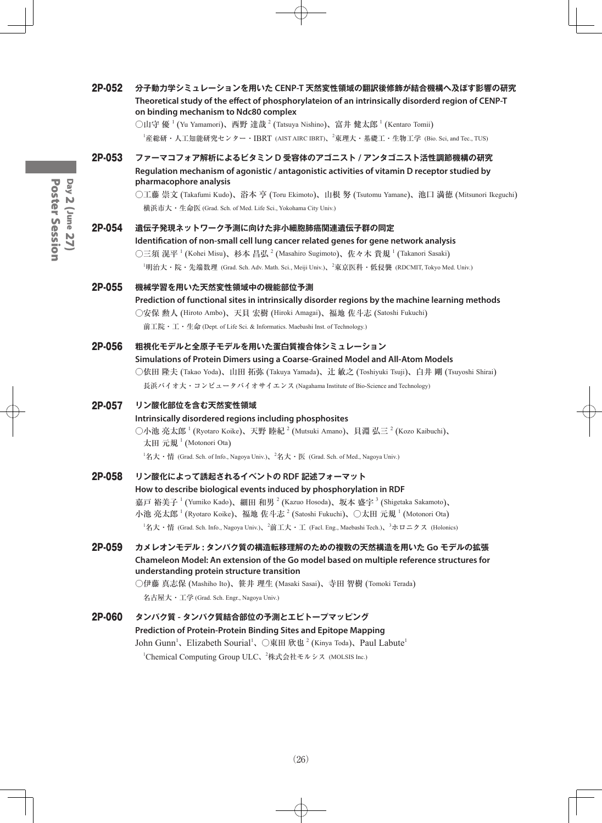| 2P-052 | 分子動力学シミュレーションを用いた CENP-T 天然変性領域の翻訳後修飾が結合機構へ及ぼす影響の研究<br>Theoretical study of the effect of phosphorylateion of an intrinsically disorderd region of CENP-T<br>on binding mechanism to Ndc80 complex<br>○山守 優 <sup>1</sup> (Yu Yamamori)、西野 達哉 <sup>2</sup> (Tatsuya Nishino)、富井 健太郎 <sup>1</sup> (Kentaro Tomii)<br>$^1$ 産総研・人工知能研究センター・IBRT (AIST AIRC IBRT)、 $^2$ 東理大・基礎工・生物工学 (Bio. Sci, and Tec., TUS)                                                                    |
|--------|------------------------------------------------------------------------------------------------------------------------------------------------------------------------------------------------------------------------------------------------------------------------------------------------------------------------------------------------------------------------------------------------------------------------------------------------------------------------------|
| 2P-053 | ファーマコフォア解析によるビタミン D 受容体のアゴニスト / アンタゴニスト活性調節機構の研究<br>Regulation mechanism of agonistic / antagonistic activities of vitamin D receptor studied by<br>pharmacophore analysis<br>○工藤 崇文 (Takafumi Kudo)、浴本 亨 (Toru Ekimoto)、山根 努 (Tsutomu Yamane)、池口 満徳 (Mitsunori Ikeguchi)<br>横浜市大・生命医 (Grad. Sch. of Med. Life Sci., Yokohama City Univ.)                                                                                                                                    |
| 2P-054 | 遺伝子発現ネットワーク予測に向けた非小細胞肺癌関連遺伝子群の同定<br>Identification of non-small cell lung cancer related genes for gene network analysis<br>○三須 滉平 <sup>1</sup> (Kohei Misu)、杉本 昌弘 <sup>2</sup> (Masahiro Sugimoto)、佐々木 貴規 <sup>1</sup> (Takanori Sasaki)<br><sup>1</sup> 明治大·院·先端数理 (Grad. Sch. Adv. Math. Sci., Meiji Univ.)、 <sup>2</sup> 東京医科·低侵襲 (RDCMIT, Tokyo Med. Univ.)                                                                                                             |
| 2P-055 | 機械学習を用いた天然変性領域中の機能部位予測<br>Prediction of functional sites in intrinsically disorder regions by the machine learning methods<br>○安保 勲人 (Hiroto Ambo)、天貝 宏樹 (Hiroki Amagai)、福地 佐斗志 (Satoshi Fukuchi)<br>前工院 · 工 · 生命 (Dept. of Life Sci. & Informatics. Maebashi Inst. of Technology.)                                                                                                                                                                                          |
| 2P-056 | 粗視化モデルと全原子モデルを用いた蛋白質複合体シミュレーション<br>Simulations of Protein Dimers using a Coarse-Grained Model and All-Atom Models<br>○依田 隆夫 (Takao Yoda)、山田 拓弥 (Takuya Yamada)、辻 敏之 (Toshiyuki Tsuji)、白井 剛 (Tsuyoshi Shirai)<br>長浜バイオ大・コンピュータバイオサイエンス (Nagahama Institute of Bio-Science and Technology)                                                                                                                                                                                     |
| 2P-057 | リン酸化部位を含む天然変性領域<br>Intrinsically disordered regions including phosphosites<br>○小池 亮太郎 <sup>1</sup> (Ryotaro Koike)、天野 睦紀 <sup>2</sup> (Mutsuki Amano)、貝淵 弘三 <sup>2</sup> (Kozo Kaibuchi)、<br>太田 元規 <sup>1</sup> (Motonori Ota)<br>${}^{1}$ 名大·情 (Grad. Sch. of Info., Nagoya Univ.), ${}^{2}$ 名大·医 (Grad. Sch. of Med., Nagoya Univ.)                                                                                                                                        |
| 2P-058 | リン酸化によって誘起されるイベントの RDF 記述フォーマット<br>How to describe biological events induced by phosphorylation in RDF<br>嘉戸 裕美子 <sup>1</sup> (Yumiko Kado)、細田 和男 <sup>2</sup> (Kazuo Hosoda)、坂本 盛字 <sup>3</sup> (Shigetaka Sakamoto)、<br>小池 亮太郎 <sup>1</sup> (Ryotaro Koike)、福地 佐斗志 <sup>2</sup> (Satoshi Fukuchi)、○太田 元規 <sup>1</sup> (Motonori Ota)<br><sup>1</sup> 名大・情 (Grad. Sch. Info., Nagoya Univ.)、 <sup>2</sup> 前工大・工 (Facl. Eng., Maebashi Tech.)、 <sup>3</sup> ホロニクス (Holonics) |
| 2P-059 | カメレオンモデル: タンパク質の構造転移理解のための複数の天然構造を用いた Go モデルの拡張<br>Chameleon Model: An extension of the Go model based on multiple reference structures for<br>understanding protein structure transition<br>○伊藤 真志保 (Mashiho Ito)、笹井 理生 (Masaki Sasai)、寺田 智樹 (Tomoki Terada)<br>名古屋大・工学 (Grad. Sch. Engr., Nagoya Univ.)                                                                                                                                                                    |
| 2P-060 | タンパク質 - タンパク質結合部位の予測とエピトープマッピング<br>Prediction of Protein-Protein Binding Sites and Epitope Mapping<br>John Gunn <sup>1</sup> 、Elizabeth Sourial <sup>1</sup> 、〇東田 欣也 <sup>2</sup> (Kinya Toda)、Paul Labute <sup>1</sup><br><sup>1</sup> Chemical Computing Group ULC、 <sup>2</sup> 株式会社モルシス (MOLSIS Inc.)                                                                                                                                                                    |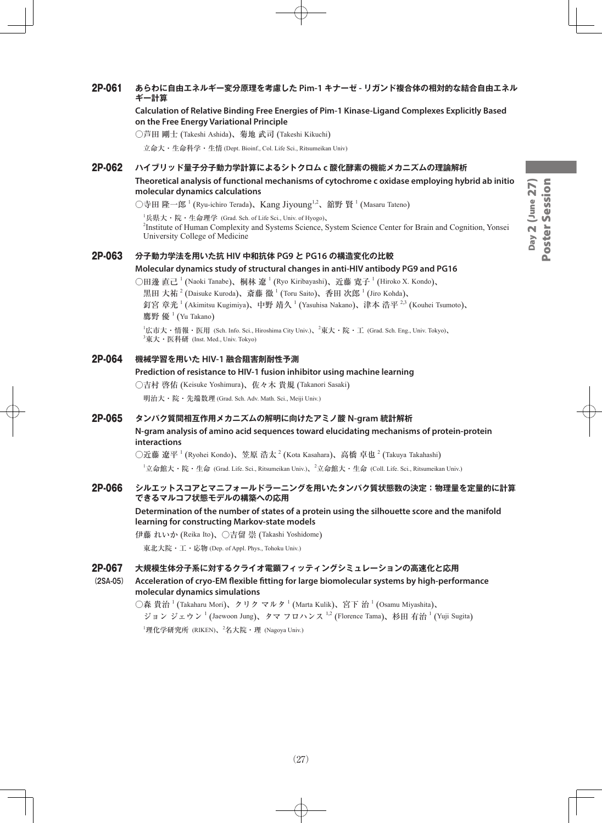#### 2P-061 **あらわに自由エネルギー変分原理を考慮した Pim-1 キナーゼ - リガンド複合体の相対的な結合自由エネル ギー計算**

**Calculation of Relative Binding Free Energies of Pim-1 Kinase-Ligand Complexes Explicitly Based on the Free Energy Variational Principle**

○芦田 剛士 (Takeshi Ashida)、菊地 武司 (Takeshi Kikuchi)

立命大・生命科学・生情 (Dept. Bioinf., Col. Life Sci., Ritsumeikan Univ)

#### 2P-062 **ハイブリッド量子分子動力学計算によるシトクロム c 酸化酵素の機能メカニズムの理論解析**

**Theoretical analysis of functional mechanisms of cytochrome c oxidase employing hybrid ab initio molecular dynamics calculations**

○寺田 隆一郎 <sup>1</sup> (Ryu-ichiro Terada)、Kang Jiyoung<sup>1,2</sup>、舘野 賢 <sup>1</sup> (Masaru Tateno)

 $^{\rm I}$ 兵県大・院・生命理学 (Grad. Sch. of Life Sci., Univ. of Hyogo)、

2 Institute of Human Complexity and Systems Science, System Science Center for Brain and Cognition, Yonsei University College of Medicine

#### 2P-063 **分子動力学法を用いた抗 HIV 中和抗体 PG9 と PG16 の構造変化の比較**

#### **Molecular dynamics study of structural changes in anti-HIV antibody PG9 and PG16**

○田邊 直己  $^1$  (Naoki Tanabe)、桐林 遼  $^1$  (Ryo Kiribayashi)、近藤 寛子  $^1$  (Hiroko X. Kondo)、 黒田 大祐  $^{2}$  (Daisuke Kuroda)、斎藤 徹  $^{1}$  (Toru Saito)、香田 次郎  $^{1}$  (Jiro Kohda)、 釘宮 章光 <sup>1</sup> (Akimitsu Kugimiya)、中野 靖久 <sup>1</sup> (Yasuhisa Nakano)、津本 浩平 <sup>2,3</sup> (Kouhei Tsumoto)、 鷹野 優 <sup>1</sup> (Yu Takano)

 $^1$ 広市大・情報・医用 (Sch. Info. Sci., Hiroshima City Univ.)、 $^2$ 東大・院・工 (Grad. Sch. Eng., Univ. Tokyo)、  $^3$ 東大・医科研 (Inst. Med., Univ. Tokyo)

#### 2P-064 **機械学習を用いた HIV-1 融合阻害剤耐性予測**

#### **Prediction of resistance to HIV-1 fusion inhibitor using machine learning**

○吉村 啓佑 (Keisuke Yoshimura)、佐々木 貴規 (Takanori Sasaki)

明治大・院・先端数理 (Grad. Sch. Adv. Math. Sci., Meiji Univ.)

#### 2P-065 **タンパク質間相互作用メカニズムの解明に向けたアミノ酸 N-gram 統計解析**

#### **N-gram analysis of amino acid sequences toward elucidating mechanisms of protein-protein interactions**

○近藤 遼平  $^1$  (Ryohei Kondo)、笠原 浩太  $^2$  (Kota Kasahara)、高橋 卓也  $^2$  (Takuya Takahashi)  $^1$ 立命館大・院・生命 (Grad. Life. Sci., Ritsumeikan Univ.)、 $^2$ 立命館大・生命 (Coll. Life. Sci., Ritsumeikan Univ.)

#### 2P-066 **シルエットスコアとマニフォールドラーニングを用いたタンパク質状態数の決定:物理量を定量的に計算 できるマルコフ状態モデルの構築への応用**

#### **Determination of the number of states of a protein using the silhouette score and the manifold learning for constructing Markov-state models**

伊藤 れいか (Reika Ito)、○吉留 崇 (Takashi Yoshidome)

東北大院・工・応物 (Dep. of Appl. Phys., Tohoku Univ.)

#### 2P-067 **大規模生体分子系に対するクライオ電顕フィッティングシミュレーションの高速化と応用**

**(2SA-05) Acceleration of cryo-EM flexible fitting for large biomolecular systems by high-performance molecular dynamics simulations**

> $\bigcirc$ 森 貴治  $^1$  (Takaharu Mori)、クリク マルタ  $^1$  (Marta Kulik)、宮下 治  $^1$  (Osamu Miyashita)、 ジョン ジェウン<sup>1</sup> (Jaewoon Jung)、タマ フロハンス<sup>1,2</sup> (Florence Tama)、杉田 有治<sup>1</sup> (Yuji Sugita)  $^1$ 理化学研究所 (RIKEN)、 $^2$ 名大院・理 (Nagoya Univ.)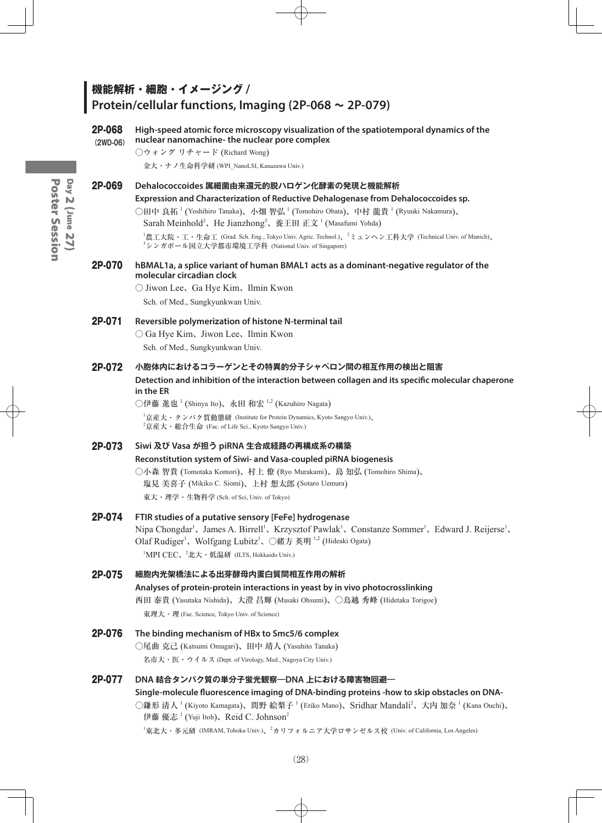## **機能解析・細胞・イメージング / Protein/cellular functions, Imaging (2P-068 ~ 2P-079)**

#### 2P-068 **High-speed atomic force microscopy visualization of the spatiotemporal dynamics of the (2WD-06) nuclear nanomachine- the nuclear pore complex**

○ウォング リチャード (Richard Wong)

金大・ナノ生命科学研 (WPI\_NanoLSI, Kanazawa Univ.)

#### 2P-069 **Dehalococcoides 属細菌由来還元的脱ハロゲン化酵素の発現と機能解析**

#### **Expression and Characterization of Reductive Dehalogenase from Dehalococcoides sp.**

○田中 良拓 <sup>1</sup> (Yoshihiro Tanaka)、小畑 智弘 <sup>1</sup> (Tomohiro Obata)、中村 龍貴 <sup>1</sup> (Ryuuki Nakamura)、

Sarah Meinhold<sup>2</sup>、He Jianzhong<sup>3</sup>、養王田 正文<sup>1</sup> (Masafumi Yohda)

1 農工大院・工・生命工 (Grad. Sch. Eng., Tokyo Univ. Agric. Technol.)、<sup>2</sup> ミュンヘン工科大学 (Technical Univ. of Munich)、 3 シンガポール国立大学都市環境工学科 (National Univ. of Singapore)

#### 2P-070 **hBMAL1a, a splice variant of human BMAL1 acts as a dominant-negative regulator of the molecular circadian clock**

○ Jiwon Lee、Ga Hye Kim、Ilmin Kwon

Sch. of Med., Sungkyunkwan Univ.

#### 2P-071 **Reversible polymerization of histone N-terminal tail**

○ Ga Hye Kim、Jiwon Lee、Ilmin Kwon

Sch. of Med., Sungkyunkwan Univ.

#### 2P-072 **小胞体内におけるコラーゲンとその特異的分子シャペロン間の相互作用の検出と阻害**

**Detection and inhibition of the interaction between collagen and its specific molecular chaperone in the ER**

○伊藤 進也  $^1$  (Shinya Ito)、永田 和宏  $^{1,2}$  (Kazuhiro Nagata)

1 京産大・タンパク質動態研 (Institute for Protein Dynamics, Kyoto Sangyo Univ.)、  $^{2}$ 京産大・総合生命 (Fac. of Life Sci., Kyoto Sangyo Univ.)

#### 2P-073 **Siwi 及び Vasa が担う piRNA 生合成経路の再構成系の構築**

#### **Reconstitution system of Siwi- and Vasa-coupled piRNA biogenesis**

○小森 智貴 (Tomotaka Komori)、村上 僚 (Ryo Murakami)、島 知弘 (Tomohiro Shima)、 塩見 美喜子 (Mikiko C. Siomi)、上村 想太郎 (Sotaro Uemura) 東大・理学・生物科学 (Sch. of Sci, Univ. of Tokyo)

## 2P-074 **FTIR studies of a putative sensory [FeFe] hydrogenase**

Nipa Chongdar<sup>1</sup>, James A. Birrell<sup>1</sup>, Krzysztof Pawlak<sup>1</sup>, Constanze Sommer<sup>1</sup>, Edward J. Reijerse<sup>1</sup>, Olaf Rudiger<sup>1</sup>、Wolfgang Lubitz<sup>1</sup>、○緒方 英明<sup>1,2</sup> (Hideaki Ogata) <sup>1</sup>MPI CEC、<sup>2</sup>北大・低温研 (ILTS, Hokkaido Univ.)

#### 2P-075 **細胞内光架橋法による出芽酵母内蛋白質間相互作用の解析**

## **Analyses of protein-protein interactions in yeast by in vivo photocrosslinking** 西田 泰貴 (Yasutaka Nishida)、大澄 昌輝 (Masaki Ohsumi)、○鳥越 秀峰 (Hidetaka Torigoe) 東理大・理 (Fac. Science, Tokyo Univ. of Science)

## 2P-076 **The binding mechanism of HBx to Smc5/6 complex** ○尾曲 克己 (Katsumi Omagari)、田中 靖人 (Yasuhito Tanaka)

名市大・医・ウイルス (Dept. of Virology, Med., Nagoya City Univ.)

#### 2P-077 **DNA 結合タンパク質の単分子蛍光観察―DNA 上における障害物回避―**

## **Single-molecule fluorescence imaging of DNA-binding proteins -how to skip obstacles on DNA-** ○鎌形 清人<sup>1</sup> (Kiyoto Kamagata)、間野 絵梨子 <sup>1</sup> (Eriko Mano)、Sridhar Mandali<sup>2</sup>、大内 加奈 <sup>1</sup> (Kana Ouchi)、 伊藤 優志<sup>1</sup> (Yuji Itoh)、Reid C. Johnson<sup>2</sup>

 $^1$ 東北大・多元研 (IMRAM, Tohoku Univ.)、 $^2$ カリフォルニア大学ロサンゼルス校 (Univ. of California, Los Angeles)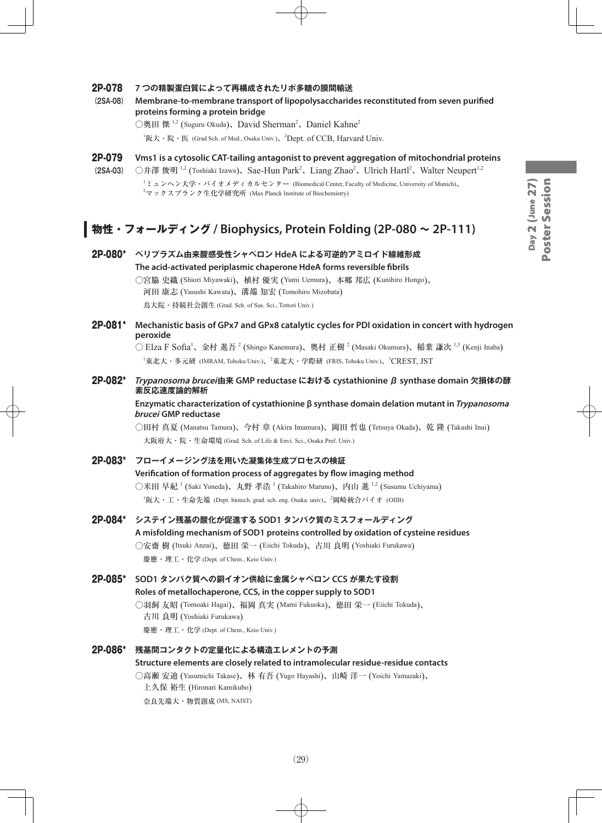# Day 2 (June 27)<br>Poster Session Day 2 (June 27) Poster Session

#### 2P-078 **7 つの精製蛋白質によって再構成されたリポ多糖の膜間輸送**

**(2SA-08) Membrane-to-membrane transport of lipopolysaccharides reconstituted from seven purified proteins forming a protein bridge**

○奥田 傑  $1,2$  (Suguru Okuda)、David Sherman<sup>2</sup>、Daniel Kahne<sup>2</sup>

 ${}^{1}$ 阪大・院・医 (Grad Sch. of Med., Osaka Univ.)、<sup>2</sup>Dept. of CCB, Harvard Univ.

- 2P-079 **Vms1 is a cytosolic CAT-tailing antagonist to prevent aggregation of mitochondrial proteins**
- (2SA-03) 〇井澤 俊明<sup>1,2</sup> (Toshiaki Izawa)、Sae-Hun Park<sup>2</sup>、Liang Zhao<sup>2</sup>、Ulrich Hartl<sup>2</sup>、Walter Neupert<sup>1,2</sup> 1 ミュンヘン大学・バイオメディカルセンター (Biomedical Center, Faculty of Medicine, University of Munich)、  $^{\text{2}}$ マックスプランク生化学研究所 (Max Planck Institute of Biochemistry)

## **物性・フォールディング / Biophysics, Protein Folding (2P-080 ~ 2P-111)**

2P-080\* **ペリプラズム由来酸感受性シャペロン HdeA による可逆的アミロイド線維形成 The acid-activated periplasmic chaperone HdeA forms reversible fibrils** ○宮脇 史織 (Shiori Miyawaki)、植村 優実 (Yumi Uemura)、本郷 邦広 (Kunihiro Hongo)、 河田 康志 (Yasushi Kawata)、溝端 知宏 (Tomohiro Mizobata) 鳥大院・持続社会創生 (Grad. Sch. of Sus. Sci., Tottori Univ.)

2P-081\* **Mechanistic basis of GPx7 and GPx8 catalytic cycles for PDI oxidation in concert with hydrogen peroxide**

> ○ Elza F Sofia<sup>1</sup>、金村 進吾 <sup>2</sup> (Shingo Kanemura)、奥村 正樹 <sup>2</sup> (Masaki Okumura)、稲葉 謙次 <sup>1,3</sup> (Kenji Inaba) <sup>1</sup>東北大・多元研 (IMRAM, Tohoku Univ.)、<sup>2</sup>東北大・学際研 (FRIS, Tohoku Univ.)、<sup>3</sup>CREST, JST

2P-082\* **Trypanosoma brucei由来 GMP reductase における cystathionine β synthase domain 欠損体の酵 素反応速度論的解析**

**Enzymatic characterization of cystathionine β synthase domain delation mutant in Trypanosoma brucei GMP reductase**

○田村 真夏 (Manatsu Tamura)、今村 章 (Akira Imamura)、岡田 哲也 (Tetsuya Okada)、乾 隆 (Takashi Inui) 大阪府大・院・生命環境 (Grad. Sch. of Life & Envi. Sci., Osaka Pref. Univ.)

## 2P-083\* **フローイメージング法を用いた凝集体生成プロセスの検証 Verification of formation process of aggregates by flow imaging method** ○米田 早紀 <sup>1</sup> (Saki Yoneda)、丸野 孝浩 <sup>1</sup> (Takahiro Maruno)、内山 進 <sup>1,2</sup> (Susumu Uchiyama)

 $^{\rm I}$ 阪大・工・生命先端 (Dept. biotech. grad. sch. eng. Osaka. univ)、 $^{\rm 2}$ 岡崎統合バイオ (OIIB)

2P-084\* **システイン残基の酸化が促進する SOD1 タンパク質のミスフォールディング**

**A misfolding mechanism of SOD1 proteins controlled by oxidation of cysteine residues** ○安齋 樹 (Itsuki Anzai)、徳田 栄一 (Eiichi Tokuda)、古川 良明 (Yoshiaki Furukawa) 慶應・理工・化学 (Dept. of Chem., Keio Univ.)

2P-085\* **SOD1 タンパク質への銅イオン供給に金属シャペロン CCS が果たす役割 Roles of metallochaperone, CCS, in the copper supply to SOD1** ○羽飼 友昭 (Tomoaki Hagai)、福岡 真実 (Mami Fukuoka)、徳田 栄一 (Eiichi Tokuda)、 古川 良明 (Yoshiaki Furukawa) 慶應・理工・化学 (Dept. of Chem., Keio Univ.)

#### 2P-086\* **残基間コンタクトの定量化による構造エレメントの予測 Structure elements are closely related to intramolecular residue-residue contacts** ○高瀬 安迪 (Yasumichi Takase)、林 有吾 (Yugo Hayashi)、山崎 洋一 (Yoichi Yamazaki)、 上久保 裕生 (Hironari Kamikubo) 奈良先端大・物質創成 (MS, NAIST)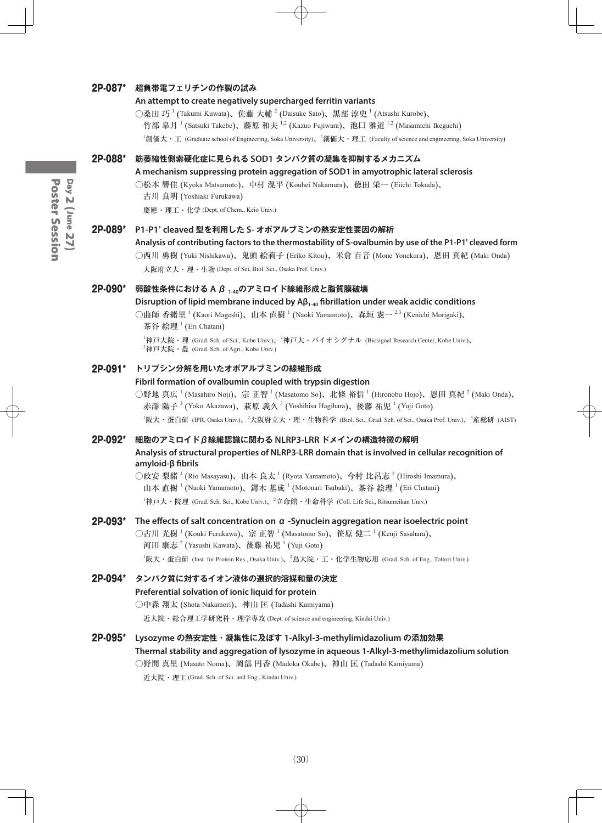#### 2P-087\* **超負帯電フェリチンの作製の試み**

#### **An attempt to create negatively supercharged ferritin variants**

○桑田 巧  $^1$  (Takumi Kuwata)、佐藤 大輔  $^2$  (Daisuke Sato)、黒部 淳史  $^1$  (Atsushi Kurobe)、

竹部 皐月 <sup>1</sup> (Satsuki Takebe)、藤原 和夫 <sup>1,2</sup> (Kazuo Fujiwara)、池口 雅道 <sup>1,2</sup> (Masamichi Ikeguchi)

 $^1$ 創価大・工 (Graduate school of Engineering, Soka University)、 $^2$ 創価大・理工 (Faculty of science and engineering, Soka University)

#### 2P-088\* **筋萎縮性側索硬化症に見られる SOD1 タンパク質の凝集を抑制するメカニズム**

#### **A mechanism suppressing protein aggregation of SOD1 in amyotrophic lateral sclerosis**

○松本 響佳 (Kyoka Matsumoto)、中村 滉平 (Kouhei Nakamura)、徳田 栄一 (Eiichi Tokuda)、

古川 良明 (Yoshiaki Furukawa)

慶應・理工・化学 (Dept. of Chem., Keio Univ.)

#### 2P-089\* **P1-P1' cleaved 型を利用した S- オボアルブミンの熱安定性要因の解析**

```
Analysis of contributing factors to the thermostability of S-ovalbumin by use of the P1-P1' cleaved form
```
○西川 勇樹 (Yuki Nishikawa)、鬼頭 絵莉子 (Eriko Kitou)、米倉 百音 (Mone Yonekura)、恩田 真紀 (Maki Onda) 大阪府立大・理・生物 (Dept. of Sci, Biol. Sci., Osaka Pref. Univ.)

#### 2P-090\* **弱酸性条件における A β 1-40のアミロイド線維形成と脂質膜破壊**

**Disruption of lipid membrane induced by Aβ1-40 fibrillation under weak acidic conditions**

○曲師 香緒里 <sup>1</sup> (Kaori Mageshi)、山本 直樹 <sup>1</sup> (Naoki Yamamoto)、森垣 憲一 <sup>2,3</sup> (Kenichi Morigaki)、 茶谷 絵理<sup>1</sup> (Eri Chatani)

 ${}^1$ 神戸大院・理 (Grad. Sch. of Sci., Kobe Univ.)、 ${}^2$ 神戸大・バイオシグナル (Biosignal Research Center, Kobe Univ.)、 3 神戸大院・農 (Grad. Sch. of Agri., Kobe Univ.)

#### 2P-091\* **トリプシン分解を用いたオボアルブミンの線維形成**

#### **Fibril formation of ovalbumin coupled with trypsin digestion**

○野地 真広 <sup>1</sup> (Masahiro Noji)、宗 正智 <sup>1</sup> (Masatomo So)、北條 裕信 <sup>1</sup> (Hironobu Hojo)、恩田 真紀 <sup>2</sup> (Maki Onda)、 赤澤 陽子  $^3$  (Yoko Akazawa)、萩原 義久  $^3$  (Yoshihisa Hagihara)、後藤 祐児  $^1$  (Yuji Goto) <sup>1</sup>阪大・蛋白研 (IPR, Osaka Univ.)、<sup>2</sup>大阪府立大・理・生物科学 (Biol. Sci., Grad. Sch. of Sci., Osaka Pref. Univ.)、<sup>3</sup>産総研 (AIST)

#### 2P-092\* **細胞のアミロイドβ線維認識に関わる NLRP3-LRR ドメインの構造特徴の解明 Analysis of structural properties of NLRP3-LRR domain that is involved in cellular recognition of amyloid-β fibrils**

○政安 梨緒 <sup>1</sup> (Rio Masayasu)、山本 良太 <sup>1</sup> (Ryota Yamamoto)、今村 比呂志 <sup>2</sup> (Hiroshi Imamura)、 山本 直樹<sup>1</sup> (Naoki Yamamoto)、鍔木 基成<sup>1</sup> (Motonari Tsubaki)、茶谷 絵理<sup>1</sup> (Eri Chatani)  $^1$ 神戸大・院理 (Grad. Sch. Sci., Kobe Univ.)、 $^2$ 立命館・生命科学 (Coll. Life Sci., Ritsumeikan Univ.)

#### 2P-093\* **The effects of salt concentration on α -Synuclein aggregation near isoelectric point**

○古川 光樹 <sup>1</sup> (Kouki Furukawa)、宗 正智 <sup>1</sup> (Masatomo So)、笹原 健二 <sup>1</sup> (Kenji Sasahara)、 河田 康志  $^2$  (Yasushi Kawata)、後藤 祐児  $^1$  (Yuji Goto)  $^1$ 阪大・蛋白研 (Inst. for Protein Res., Osaka Univ.)、 $^2$ 鳥大院・工・化学生物応用 (Grad. Sch. of Eng., Tottori Univ.)

#### 2P-094\* **タンパク質に対するイオン液体の選択的溶媒和量の決定 Preferential solvation of ionic liquid for protein** ○中森 翔太 (Shota Nakamori)、神山 匡 (Tadashi Kamiyama) 近大院・総合理工学研究科・理学専攻 (Dept. of science and engineering, Kindai Univ.)

2P-095\* **Lysozyme の熱安定性・凝集性に及ぼす 1-Alkyl-3-methylimidazolium の添加効果 Thermal stability and aggregation of lysozyme in aqueous 1-Alkyl-3-methylimidazolium solution**

○野間 真里 (Masato Noma)、岡部 円香 (Madoka Okabe)、神山 匡 (Tadashi Kamiyama)

近大院・理工 (Grad. Sch. of Sci. and Eng., Kindai Univ.)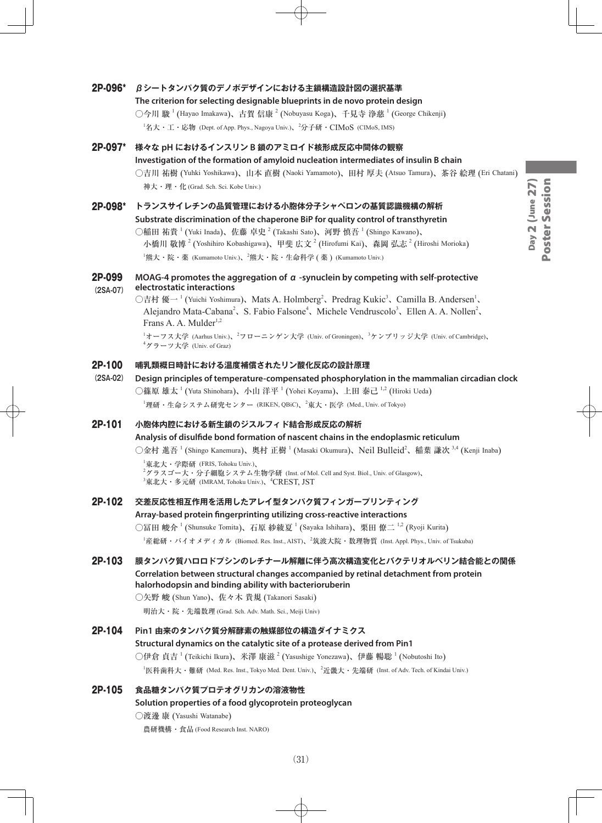#### 2P-096\* **βシートタンパク質のデノボデザインにおける主鎖構造設計図の選択基準**

**The criterion for selecting designable blueprints in de novo protein design** ○今川 駿 <sup>1</sup> (Hayao Imakawa)、古賀 信康 <sup>2</sup> (Nobuyasu Koga)、千見寺 浄慈 <sup>1</sup> (George Chikenji)  $^1$ 名大・工・応物 (Dept. of App. Phys., Nagoya Univ.)、 $^2$ 分子研・ $\rm CIMoS$  (CIMoS, IMS)

#### 2P-097\* **様々な pH におけるインスリン B 鎖のアミロイド核形成反応中間体の観察**

#### **Investigation of the formation of amyloid nucleation intermediates of insulin B chain**

○吉川 祐樹 (Yuhki Yoshikawa)、山本 直樹 (Naoki Yamamoto)、田村 厚夫 (Atsuo Tamura)、茶谷 絵理 (Eri Chatani) 神大・理・化 (Grad. Sch. Sci. Kobe Univ.)

#### 2P-098\* **トランスサイレチンの品質管理における小胞体分子シャペロンの基質認識機構の解析**

**Substrate discrimination of the chaperone BiP for quality control of transthyretin** ○稲田 祐貴  $^1$  (Yuki Inada)、佐藤 卓史  $^2$  (Takashi Sato)、河野 慎吾  $^1$  (Shingo Kawano)、 小橋川 敬博  $^2$  (Yoshihiro Kobashigawa)、甲斐 広文  $^2$  (Hirofumi Kai)、森岡 弘志  $^2$  (Hiroshi Morioka)  $^{\rm l}$ 熊大・院・薬 (Kumamoto Univ.)、 $^{\rm 2}$ 熊大・院・生命科学 ( 薬 ) (Kumamoto Univ.)

#### 2P-099 **MOAG-4 promotes the aggregation of α -synuclein by competing with self-protective (2SA-07) electrostatic interactions**

○吉村 優一<sup>1</sup> (Yuichi Yoshimura)、Mats A. Holmberg<sup>2</sup>、Predrag Kukic<sup>3</sup>、Camilla B. Andersen<sup>1</sup>、 Alejandro Mata-Cabana<sup>2</sup>, S. Fabio Falsone<sup>4</sup>, Michele Vendruscolo<sup>3</sup>, Ellen A. A. Nollen<sup>2</sup>, Frans A. A. Mulder $1,2$ 

> <sup>1</sup>オーフス大学 (Aarhus Univ.)、<sup>2</sup>フローニンゲン大学 (Univ. of Groningen)、<sup>3</sup>ケンブリッジ大学 (Univ. of Cambridge)、 4 グラーツ大学 (Univ. of Graz)

#### 2P-100 **哺乳類概日時計における温度補償されたリン酸化反応の設計原理**

**(2SA-02) Design principles of temperature-compensated phosphorylation in the mammalian circadian clock** ○篠原 雄太 <sup>1</sup> (Yuta Shinohara)、小山 洋平 <sup>1</sup> (Yohei Koyama)、上田 泰己 <sup>1,2</sup> (Hiroki Ueda)  $^1$ 理研・生命システム研究センター (RIKEN, QBiC)、 $^2$ 東大・医学 (Med., Univ. of Tokyo)

## 2P-101 **小胞体内腔における新生鎖のジスルフィド結合形成反応の解析**

**Analysis of disulfide bond formation of nascent chains in the endoplasmic reticulum** ○金村 進吾 <sup>1</sup> (Shingo Kanemura)、奥村 正樹 <sup>1</sup> (Masaki Okumura)、Neil Bulleid<sup>2</sup>、稲葉 謙次 <sup>3,4</sup> (Kenji Inaba) 1 東北大・学際研 (FRIS, Tohoku Univ.)、

 $^2$ グラスゴー大・分子細胞システム生物学研 (Inst. of Mol. Cell and Syst. Biol., Univ. of Glasgow)、  $^3$ 東北大・多元研 (IMRAM, Tohoku Univ.)、 $^4$ CREST, JST

#### 2P-102 **交差反応性相互作用を活用したアレイ型タンパク質フィンガープリンティング**

**Array-based protein fingerprinting utilizing cross-reactive interactions**

○冨田 峻介 <sup>1</sup> (Shunsuke Tomita)、石原 紗綾夏 <sup>1</sup> (Sayaka Ishihara)、栗田 僚二 <sup>1,2</sup> (Ryoji Kurita)

1 産総研・バイオメディカル (Biomed. Res. Inst., AIST)、<sup>2</sup> 筑波大院・数理物質 (Inst. Appl. Phys., Univ. of Tsukuba)

2P-103 **膜タンパク質ハロロドプシンのレチナール解離に伴う高次構造変化とバクテリオルベリン結合能との関係 Correlation between structural changes accompanied by retinal detachment from protein halorhodopsin and binding ability with bacterioruberin**

○矢野 峻 (Shun Yano)、佐々木 貴規 (Takanori Sasaki)

明治大・院・先端数理 (Grad. Sch. Adv. Math. Sci., Meiji Univ)

#### 2P-104 **Pin1 由来のタンパク質分解酵素の触媒部位の構造ダイナミクス**

## **Structural dynamics on the catalytic site of a protease derived from Pin1** ○伊倉 貞吉  $^1$  (Teikichi Ikura)、米澤 康滋  $^2$  (Yasushige Yonezawa)、伊藤 暢聡  $^1$  (Nobutoshi Ito)

 $^1$ 医科歯科大・難研 (Med. Res. Inst., Tokyo Med. Dent. Univ.)、 $^2$ 近畿大・先端研 (Inst. of Adv. Tech. of Kindai Univ.)

#### 2P-105 **食品糖タンパク質プロテオグリカンの溶液物性**

#### **Solution properties of a food glycoprotein proteoglycan**

○渡邊 康 (Yasushi Watanabe)

農研機構・食品 (Food Research Inst. NARO)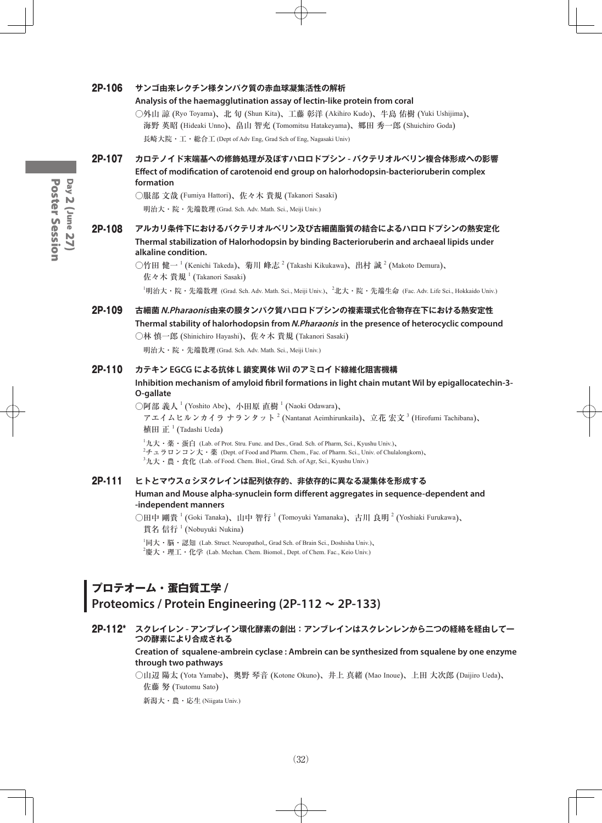#### 2P-106 **サンゴ由来レクチン様タンパク質の赤血球凝集活性の解析**

#### **Analysis of the haemagglutination assay of lectin-like protein from coral**

○外山 諒 (Ryo Toyama)、北 旬 (Shun Kita)、工藤 彰洋 (Akihiro Kudo)、牛島 佑樹 (Yuki Ushijima)、 海野 英昭 (Hideaki Unno)、畠山 智充 (Tomomitsu Hatakeyama)、郷田 秀一郎 (Shuichiro Goda) 長崎大院・工・総合工 (Dept of Adv Eng, Grad Sch of Eng, Nagasaki Univ)

2P-107 **カロテノイド末端基への修飾処理が及ぼすハロロドプシン - バクテリオルベリン複合体形成への影響 Effect of modification of carotenoid end group on halorhodopsin-bacterioruberin complex formation**

○服部 文哉 (Fumiya Hattori)、佐々木 貴規 (Takanori Sasaki)

明治大・院・先端数理 (Grad. Sch. Adv. Math. Sci., Meiji Univ.)

2P-108 **アルカリ条件下におけるバクテリオルベリン及び古細菌脂質の結合によるハロロドプシンの熱安定化 Thermal stabilization of Halorhodopsin by binding Bacterioruberin and archaeal lipids under alkaline condition.**

> ○竹田 健一<sup>1</sup> (Kenichi Takeda)、菊川 峰志<sup>2</sup> (Takashi Kikukawa)、出村 誠<sup>2</sup> (Makoto Demura)、  $t$ 佐々木 貴規  $^1$  (Takanori Sasaki)

 $^1$ 明治大・院・先端数理 (Grad. Sch. Adv. Math. Sci., Meiji Univ.)、 $^2$ 北大・院・先端生命 (Fac. Adv. Life Sci., Hokkaido Univ.)

2P-109 **古細菌N.Pharaonis由来の膜タンパク質ハロロドプシンの複素環式化合物存在下における熱安定性 Thermal stability of halorhodopsin from N.Pharaonis in the presence of heterocyclic compound** ○林 慎一郎 (Shinichiro Hayashi)、佐々木 貴規 (Takanori Sasaki)

明治大・院・先端数理 (Grad. Sch. Adv. Math. Sci., Meiji Univ.)

#### 2P-110 **カテキン EGCG による抗体 L 鎖変異体 Wil のアミロイド線維化阻害機構**

**Inhibition mechanism of amyloid fibril formations in light chain mutant Wil by epigallocatechin-3- O-gallate**

○阿部 義人  $^1$  (Yoshito Abe)、小田原 直樹  $^1$  (Naoki Odawara)、

アエイムヒルンカイラ ナランタット  $^2$  (Nantanat Aeimhirunkaila)、立花 宏文  $^3$  (Hirofumi Tachibana)、 植田 正  $^1$  (Tadashi Ueda)

 $^1$ 九大・薬・蛋白 (Lab. of Prot. Stru. Func. and Des., Grad. Sch. of Pharm, Sci., Kyushu Univ.)、  $^{2}$ チュラロンコン大・薬 (Dept. of Food and Pharm. Chem., Fac. of Pharm. Sci., Univ. of Chulalongkorn)、  $^3$ 九大・農・食化 (Lab. of Food. Chem. Biol., Grad. Sch. of Agr, Sci., Kyushu Univ.)

#### 2P-111 **ヒトとマウスαシヌクレインは配列依存的、非依存的に異なる凝集体を形成する**

**Human and Mouse alpha-synuclein form different aggregates in sequence-dependent and -independent manners**

○田中 剛貴  $^1$  (Goki Tanaka)、山中 智行  $^1$  (Tomoyuki Yamanaka)、古川 良明  $^2$  (Yoshiaki Furukawa)、 貫名 信行<sup>1</sup> (Nobuyuki Nukina)

 $^1$ 同大・脳・認知 (Lab. Struct. Neuropathol,, Grad Sch. of Brain Sci., Doshisha Univ.)、  $^2$ 慶大・理工・化学 (Lab. Mechan. Chem. Biomol., Dept. of Chem. Fac., Keio Univ.)

## **プロテオーム・蛋白質工学 / Proteomics / Protein Engineering (2P-112 ~ 2P-133)**

#### 2P-112\* **スクレイレン - アンブレイン環化酵素の創出:アンブレインはスクレンレンから二つの経絡を経由して一 つの酵素により合成される**

**Creation of squalene-ambrein cyclase : Ambrein can be synthesized from squalene by one enzyme through two pathways**

○山辺 陽太 (Yota Yamabe)、奥野 琴音 (Kotone Okuno)、井上 真緒 (Mao Inoue)、上田 大次郎 (Daijiro Ueda)、 佐藤 努 (Tsutomu Sato)

新潟大・農・応生 (Niigata Univ.)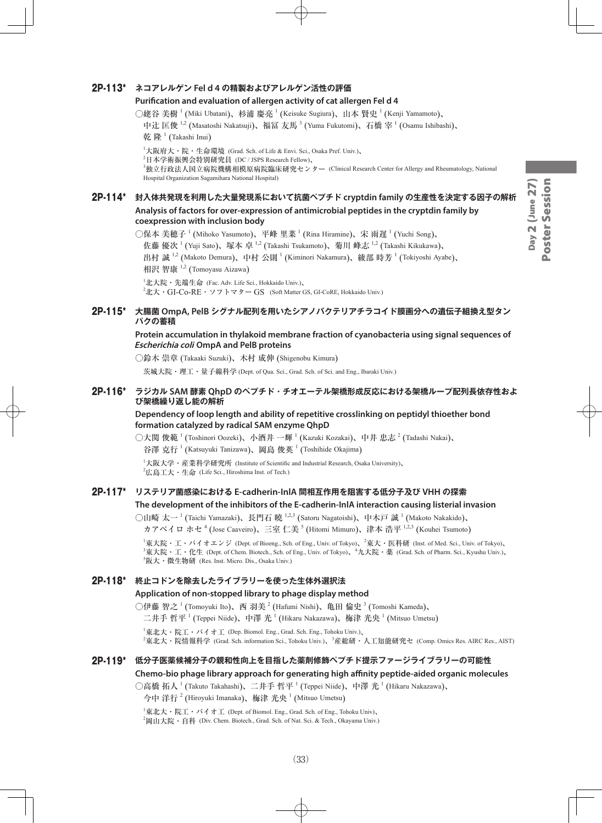#### 2P-113\* **ネコアレルゲン Fel d 4 の精製およびアレルゲン活性の評価**

#### **Purification and evaluation of allergen activity of cat allergen Fel d 4**

○姥谷 美樹  $^1$  (Miki Ubatani)、杉浦 慶亮  $^1$  (Keisuke Sugiura)、山本 賢史  $^1$  (Kenji Yamamoto)、

中辻 匡俊 <sup>1,2</sup> (Masatoshi Nakatsuji)、福冨 友馬 <sup>3</sup> (Yuma Fukutomi)、石橋 宰 <sup>1</sup> (Osamu Ishibashi)、 乾 隆  $^1$  (Takashi Inui)

1 大阪府大・院・生命環境 (Grad. Sch. of Life & Envi. Sci., Osaka Pref. Univ.)、

 $^2$ 日本学術振興会特別研究員 (DC / JSPS Research Fellow)、

3 独立行政法人国立病院機構相模原病院臨床研究センター (Clinical Research Center for Allergy and Rheumatology, National Hospital Organization Sagamihara National Hospital)

#### 2P-114\* **封入体共発現を利用した大量発現系において抗菌ペプチド cryptdin family の生産性を決定する因子の解析**

**Analysis of factors for over-expression of antimicrobial peptides in the cryptdin family by coexpression with inclusion body**

○保本 美穂子  $^1$  (Mihoko Yasumoto)、平峰 里菜  $^1$  (Rina Hiramine)、宋 雨遅  $^1$  (Yuchi Song)、 佐藤 優次<sup>-1</sup> (Yuji Sato)、塚本 卓 <sup>1,2</sup> (Takashi Tsukamoto)、菊川 峰志 <sup>1,2</sup> (Takashi Kikukawa)、 出村 誠  $^{1,2}$  (Makoto Demura)、中村 公則  $^1$  (Kiminori Nakamura)、綾部 時芳  $^1$  (Tokiyoshi Ayabe)、 相沢 智康 <sup>1,2</sup> (Tomoyasu Aizawa)

 $^1$ 北大院・先端生命 (Fac. Adv. Life Sci., Hokkaido Univ.)、  $^{2}$ 北大・GI-Co-RE・ソフトマター GS (Soft Matter GS, GI-CoRE, Hokkaido Univ.)

#### 2P-115\* **大腸菌 OmpA, PelB シグナル配列を用いたシアノバクテリアチラコイド膜画分への遺伝子組換え型タン パクの蓄積**

#### **Protein accumulation in thylakoid membrane fraction of cyanobacteria using signal sequences of Escherichia coli OmpA and PelB proteins**

○鈴木 崇章 (Takaaki Suzuki)、木村 成伸 (Shigenobu Kimura)

茨城大院・理工・量子線科学 (Dept. of Qua. Sci., Grad. Sch. of Sci. and Eng., Ibaraki Univ.)

#### 2P-116\* **ラジカル SAM 酵素 QhpD のペプチド・チオエーテル架橋形成反応における架橋ループ配列長依存性およ び架橋繰り返し能の解析**

**Dependency of loop length and ability of repetitive crosslinking on peptidyl thioether bond formation catalyzed by radical SAM enzyme QhpD**

○大関 俊範  $^1$  (Toshinori Oozeki)、小酒井 一輝  $^1$  (Kazuki Kozakai)、中井 忠志  $^2$  (Tadashi Nakai)、

谷澤 克行<sup>1</sup> (Katsuyuki Tanizawa)、岡島 俊英<sup>1</sup> (Toshihide Okajima)

1 大阪大学・産業科学研究所 (Institute of Scientific and Industrial Research, Osaka University)、  $^{2}$ 広島工大・生命 (Life Sci., Hiroshima Inst. of Tech.)

## 2P-117\* **リステリア菌感染における E-cadherin-InlA 間相互作用を阻害する低分子及び VHH の探索**

**The development of the inhibitors of the E-cadherin-InlA interaction causing listerial invasion**

○山崎 太一 <sup>1</sup> (Taichi Yamazaki)、長門石 曉 <sup>1,2,3</sup> (Satoru Nagatoishi)、中木戸 誠 <sup>1</sup> (Makoto Nakakido)、 カアベイロ ホセ <sup>4</sup> (Jose Caaveiro)、三室 仁美 <sup>5</sup> (Hitomi Mimuro)、津本 浩平 <sup>1,2,3</sup> (Kouhei Tsumoto)

 $^1$ 東大院・エ・バイオエンジ (Dept. of Bioeng., Sch. of Eng., Univ. of Tokyo)、 $^2$ 東大・医科研 (Inst. of Med. Sci., Univ. of Tokyo)、  ${}^{3}\nexists \mathbf{\ddot{x}}$  大院・工・化生 (Dept. of Chem. Biotech., Sch. of Eng., Univ. of Tokyo)、 ${}^{4}\nexists \mathbf{\ddot{x}}$  (Grad. Sch. of Pharm. Sci., Kyushu Univ.)、 5 阪大・微生物研 (Res. Inst. Micro. Dis., Osaka Univ.)

#### 2P-118\* **終止コドンを除去したライブラリーを使った生体外選択法**

#### **Application of non-stopped library to phage display method**

○伊藤 智之 <sup>1</sup> (Tomoyuki Ito)、西 羽美 <sup>2</sup> (Hafumi Nishi)、亀田 倫史 <sup>3</sup> (Tomoshi Kameda)、

二井手 哲平  $^1$  (Teppei Niide)、中澤 光  $^1$  (Hikaru Nakazawa)、梅津 光央  $^1$  (Mitsuo Umetsu)

1 東北大・院工・バイオ工 (Dep. Biomol. Eng., Grad. Sch. Eng., Tohoku Univ.)、

<sup>2</sup>東北大・院情報科学 (Grad. Sch. information Sci., Tohoku Univ.)、<sup>3</sup>産総研・人工知能研究セ (Comp. Omics Res. AIRC Res., AIST)

#### 2P-119\* **低分子医薬候補分子の親和性向上を目指した薬剤修飾ペプチド提示ファージライブラリーの可能性 Chemo-bio phage library approach for generating high affinity peptide-aided organic molecules**

○高橋 拓人 <sup>1</sup> (Takuto Takahashi)、二井手 哲平 <sup>1</sup> (Teppei Niide)、中澤 光 <sup>1</sup> (Hikaru Nakazawa)、

今中 洋行  $^{2}$  (Hiroyuki Imanaka)、梅津 光央  $^{1}$  (Mitsuo Umetsu)

 $^{\rm 1}$ 東北大・院工・バイオ工 (Dept. of Biomol. Eng., Grad. Sch. of Eng., Tohoku Univ)、  $^{2}$ 岡山大院・自科 (Div. Chem. Biotech., Grad. Sch. of Nat. Sci. & Tech., Okayama Univ.)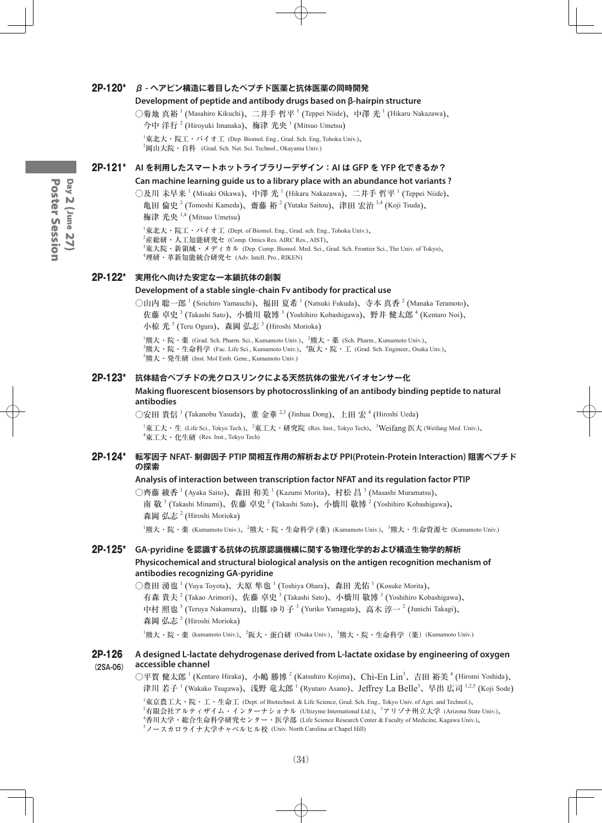#### 2P-120\* **β - ヘアピン構造に着目したペプチド医薬と抗体医薬の同時開発**

#### **Development of peptide and antibody drugs based on β-hairpin structure**

○菊地 真裕 <sup>1</sup> (Masahiro Kikuchi)、二井手 哲平 <sup>1</sup> (Teppei Niide)、中澤 光 <sup>1</sup> (Hikaru Nakazawa)、

今中 洋行  $^{2}$  (Hiroyuki Imanaka)、梅津 光央  $^{1}$  (Mitsuo Umetsu)

1 東北大・院工・バイオ工 (Dep. Biomol. Eng., Grad. Sch. Eng, Tohoku Univ.)、  $^2$ 岡山大院・自科 (Grad. Sch. Nat. Sci. Technol., Okayama Univ.)

#### 2P-121\* **AI を利用したスマートホットライブラリーデザイン:AI は GFP を YFP 化できるか?**

#### **Can machine learning guide us to a library place with an abundance hot variants ?**

○及川 未早来  $^1$  (Misaki Oikawa)、中澤 光  $^1$  (Hikaru Nakazawa)、二井手 哲平  $^1$  (Teppei Niide)、

亀田 倫史<sup>2</sup> (Tomoshi Kameda)、齋藤 裕<sup>2</sup> (Yutaka Saitou)、津田 宏治<sup>3,4</sup> (Koji Tsuda)、 梅津 光央 <sup>1,4</sup> (Mitsuo Umetsu)

1 東北大・院工・バイオ工 (Dept. of Biomol. Eng., Grad. sch. Eng., Tohoku Univ.)、

 $^2$ 産総研・人工知能研究セ (Comp. Omics Res. AIRC Res., AIST)、

- 3 東大院・新領域・メディカル (Dep. Comp. Biomol. Med. Sci., Grad. Sch. Frontier Sci., The Univ. of Tokyo)、
- 4 理研・革新知能統合研究セ (Adv. Intell. Pro., RIKEN)

#### 2P-122\* **実用化へ向けた安定な一本鎖抗体の創製**

#### **Development of a stable single-chain Fv antibody for practical use**

○山内 聡一郎  $^1$  (Soichiro Yamauchi)、福田 夏希  $^1$  (Natsuki Fukuda)、寺本 真香  $^2$  (Manaka Teramoto)、 佐藤 卓史 3 (Takashi Sato)、小橋川 敬博 3 (Yoshihiro Kobashigawa)、野井 健太郎 4 (Kentaro Noi)、 小椋 光 5 (Teru Ogura)、森岡 弘志 <sup>3</sup> (Hiroshi Morioka)

 ${}^{1}$ 熊大・院・薬 (Grad. Sch. Pharm. Sci., Kumamoto Univ.)、 ${}^{2}$ 熊大・薬 (Sch. Pharm., Kumamoto Univ.)、  $^3$ 熊大・院・生命科学 (Fac. Life Sci., Kumamoto Univ.)、 $^4$ 阪大・院・工 (Grad. Sch. Engineer., Osaka Unv.)、 5 熊大・発生研 (Inst. Mol Emb. Gene., Kumamoto Univ.)

#### 2P-123\* **抗体結合ペプチドの光クロスリンクによる天然抗体の蛍光バイオセンサー化**

#### **Making fluorescent biosensors by photocrosslinking of an antibody binding peptide to natural antibodies**

○安田 貴信 <sup>1</sup> (Takanobu Yasuda)、董 金華 <sup>2,3</sup> (Jinhua Dong)、上田 宏 <sup>4</sup> (Hiroshi Ueda)

 $^1$ 東工大・生 (Life Sci., Tokyo Tech.)、 $^2$ 東工大・研究院 (Res. Inst., Tokyo Tech)、 $^3$ Weifang 医大 (Weifang Med. Univ.)、 4 東工大・化生研 (Res. Inst., Tokyo Tech)

#### 2P-124\* **転写因子 NFAT- 制御因子 PTIP 間相互作用の解析および PPI(Protein-Protein Interaction) 阻害ペプチド の探索**

#### **Analysis of interaction between transcription factor NFAT and its regulation factor PTIP**

○齊藤 綾香  $^1$  (Ayaka Saito)、森田 和美  $^1$  (Kazumi Morita)、村松 昌  $^3$  (Masashi Muramatsu)、 南 敬  $^3$  (Takashi Minami)、佐藤 卓史  $^2$  (Takashi Sato)、小橋川 敬博  $^2$  (Yoshihiro Kobashigawa)、 森岡 弘志<sup>2</sup> (Hiroshi Morioka)

<sup>1</sup>熊大・院・薬 (Kumamoto Univ.)、<sup>2</sup>熊大・院・生命科学 (薬) (Kumamoto Univ.)、<sup>3</sup>熊大・生命資源セ (Kumamoto Univ.)

#### 2P-125\* **GA-pyridine を認識する抗体の抗原認識機構に関する物理化学的および構造生物学的解析 Physicochemical and structural biological analysis on the antigen recognition mechanism of antibodies recognizing GA-pyridine**

○豊田 湧也  $^1$  (Yuya Toyota)、大原 隼也  $^1$  (Toshiya Ohara)、森田 光佑  $^1$  (Kosuke Morita)、 有森 貴夫  $^2$  (Takao Arimori)、佐藤 卓史  $^3$  (Takashi Sato)、小橋川 敬博  $^3$  (Yoshihiro Kobashigawa)、 中村 照也 <sup>3</sup> (Teruya Nakamura)、山縣 ゆり子 <sup>3</sup> (Yuriko Yamagata)、高木 淳一 <sup>2</sup> (Junichi Takagi)、 森岡 弘志<sup>3</sup> (Hiroshi Morioka)

<sup>1</sup>熊大・院・薬 (kumamoto Univ.)、<sup>2</sup>阪大・蛋白研 (Osaka Univ.)、<sup>3</sup>熊大・院・生命科学(薬)(Kumamoto Univ.)

#### 2P-126 **A designed L-lactate dehydrogenase derived from L-lactate oxidase by engineering of oxygen (2SA-06) accessible channel**

○平賀 健太郎 <sup>1</sup> (Kentaro Hiraka)、小嶋 勝博 <sup>2</sup> (Katsuhiro Kojima)、Ch**i**-En Lin<sup>3</sup>、吉田 裕美 <sup>4</sup> (Hiromi Yoshida)、 津川 若子 <sup>1</sup> (Wakako Tsugawa)、浅野 竜太郎 <sup>1</sup> (Ryutaro Asano)、Jeffrey La Belle<sup>3</sup>、早出 広司 <sup>1,2,5</sup> (Koji Sode)

 東京農工大・院・工・生命工 (Dept. of Biotechnol. & Life Science, Grad. Sch. Eng., Tokyo Univ. of Agri. and Technol.)、 <sup>2</sup>有限会社アルティザイム・インターナショナル (Ultizyme International Ltd.)、<sup>3</sup>アリゾナ州立大学 (Arizona State Univ.)、 香川大学・総合生命科学研究センター・医学部 (Life Science Research Center & Faculty of Medicine, Kagawa Univ.)、 ノースカロライナ大学チャペルヒル校 (Univ. North Carolina at Chapel Hill)